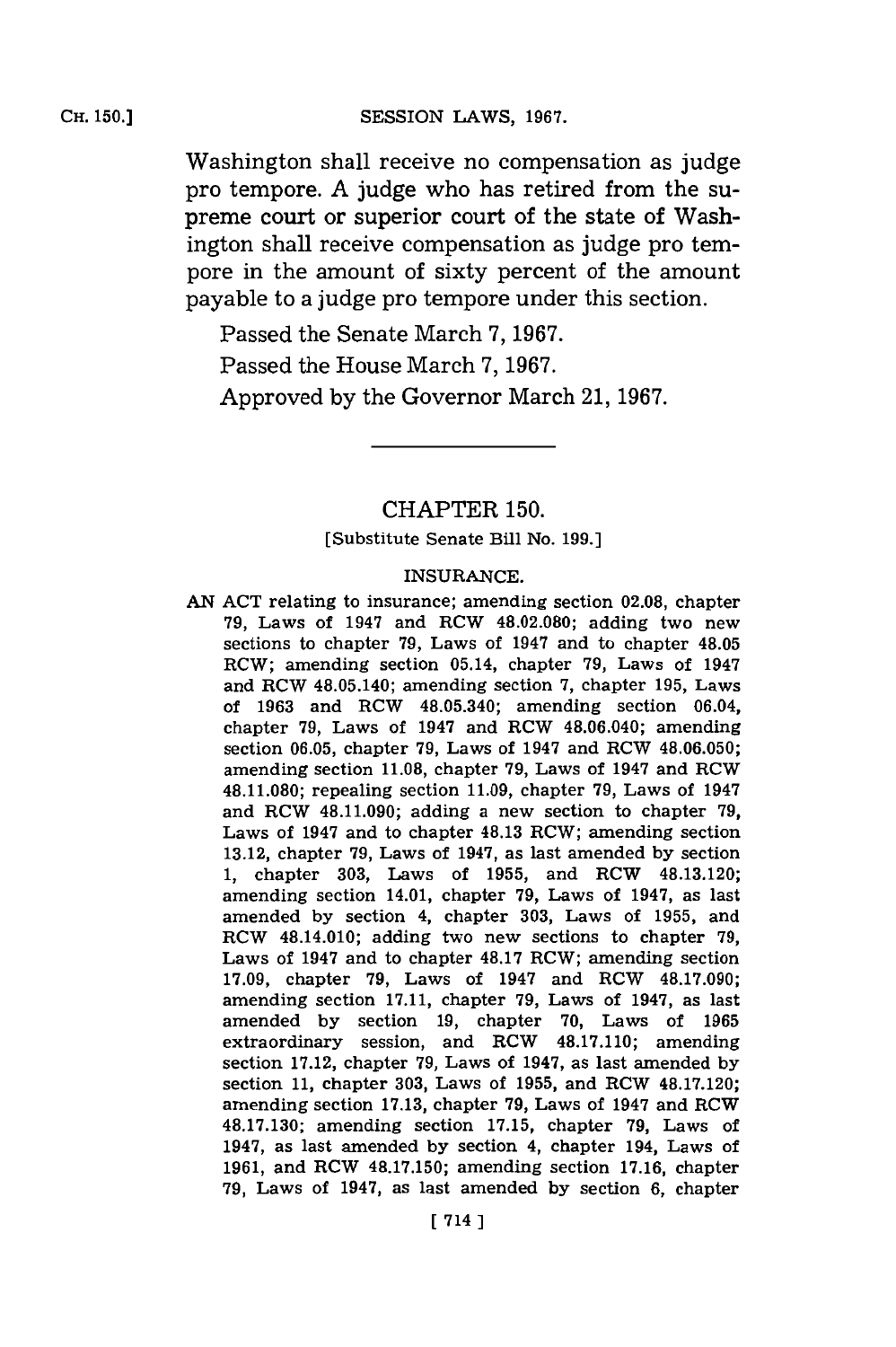Washington shall receive no compensation as judge pro tempore. **A** judge who has retired from the supreme court or superior court of the state of Washington shall receive compensation as judge pro tempore in the amount of sixty percent of the amount payable to a judge pro tempore under this section.

Passed the Senate March **7, 1967.** Passed the House March **7, 1967.** Approved **by** the Governor March 21, **1967.**

# CHAPTER **150.**

[Substitute Senate Bill No. **199.]**

#### **INSURANCE.**

**AN ACT** relating to insurance; amending section **02.08,** chapter **79,** Laws of 1947 and RCW **48.02.080;** adding two new sections to chapter **79,** Laws of 1947 and to chapter 48.05 RCW; amending section 05.14, chapter **79,** Laws of 1947 and RCW 48.05.140; amending section **7,** chapter **195,** Laws of **1963** and RCW 48.05.340; amending section 06.04, chapter **79,** Laws of 1947 and RCW 48.06.040; amending section **06.05,** chapter **79,** Laws of 1947 and RCW **48.06.050;** amending section **11.08,** chapter **79,** Laws of 1947 and RCW **48.11.080;** repealing section **11.09,** chapter **79,** Laws of 1947 and RCW 48.11.090; adding a new section to chapter **79,** Laws of 1947 and to chapter 48.13 RCW; amending section **13.12,** chapter **79,** Laws of 1947, as last amended **by** section **1,** chapter **303,** Laws of **1955,** and RCW 48.13.120; amending section 14.01, chapter **79,** Laws of 1947, as last amended **by** section 4, chapter **303,** Laws of **1955,** and RCW 48.14.010; adding two new sections to chapter **79,** Laws of 1947 and to chapter **48.17** RCW; amending section **17.09,** chapter **79,** Laws of 1947 and RCW **48.17.090;** amending section **17.11,** chapter **79,** Laws of 1947, as last amended **by** section **19,** chapter **70,** Laws of **1965** extraordinary session, and RCW **48.17.110;** amending section **17.12,** chapter **79,** Laws of 1947, as last amended **by** section **11,** chapter **303,** Laws of **1955,** and RCW **48.17.120;** amending section **17.13,** chapter **79,** Laws of 1947 and RCW **48.17.130;** amending section **17.15,** chapter **79,** Laws of 1947, as last amended **by** section 4, chapter 194, Laws of **1961,** and RCW **48.17.150;** amending section **17.16,** chapter **79,** Laws of 1947, as last amended **by** section **6,** chapter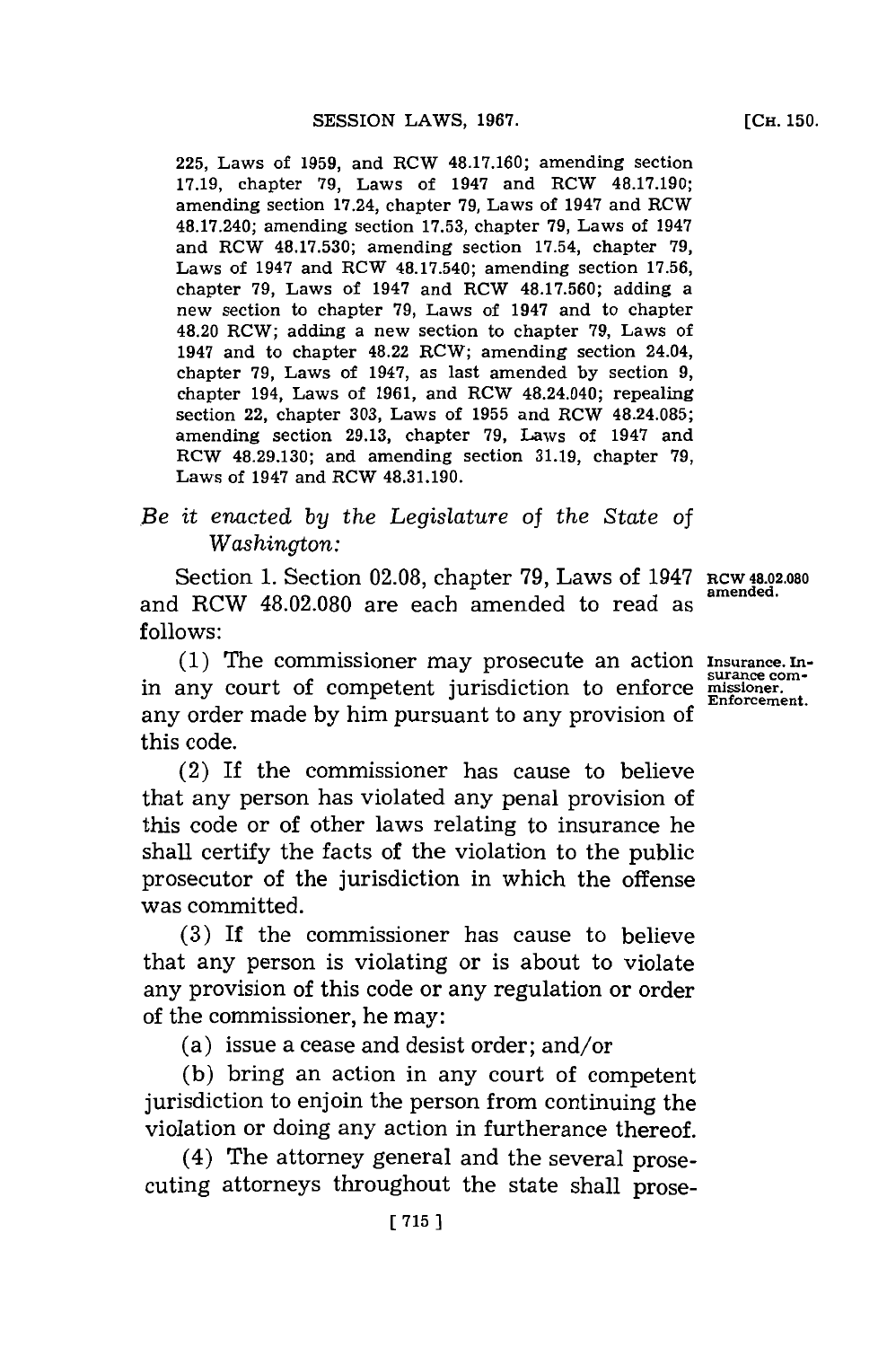**225,** Laws of **1959,** and RCW **48.17.160;** amending section **17.19,** chapter **79,** Laws of 1947 and RCW **48.17.190;** amending section 17.24, chapter **79,** Laws of 1947 and RCW **48.17.240;** amending section **17.53,** chapter **79,** Laws of 1947 and RCW **48.17.530;** amending section 17.54, chapter **79,** Laws of 1947 and RCW 48.17.540; amending section **17.56,** chapter **79,** Laws of 1947 and RCW **48.17.560;** adding a new section to chapter **79,** Laws of 1947 and to chapter 48.20 RCW; adding a new section to chapter **79,** Laws of 1947 and to chapter 48.22 RCW; amending section 24.04, chapter **79,** Laws of 1947, as last amended **by** section **9,** chapter 194, Laws of **1961,** and RCW 48.24.040; repealing section 22, chapter **303,** Laws of **1955** and RCW 48.24.085; amending section **29.13,** chapter **79,** Laws of 1947 and RCW **48.29.130;** and amending section **31.19,** chapter **79,** Laws of 1947 and RCW **48.31.190.**

## *Be it enacted by the Legislature* of *the State of Washington:*

Section **1.** Section **02.08,** chapter **79,** Laws of 1947 Rcw **48.02.080** and RCW **48.02.080** are each amended to read as **follows:**

**(1)** The commissioner may prosecute an action Insurance.Inin any court of competent jurisdiction to enforce missioner. any order made **by** him pursuant to any provision **of** this code.

(2) If the commissioner has cause to believe that any person has violated any penal provision of this code or of other laws relating to insurance he shall certify the facts of the violation to the public prosecutor of the jurisdiction in which the offense was committed.

**(3)** If the commissioner has cause to believe that any person is violating or is about to violate any provision of this code or any regulation or order of the commissioner, he may:

(a) issue a cease and desist order; and/or

**(b)** bring an action in any court of competent jurisdiction to enjoin the person from continuing the violation or doing any action in furtherance thereof.

(4) The attorney general and the several prosecuting attorneys throughout the state shall prose-

**amended.**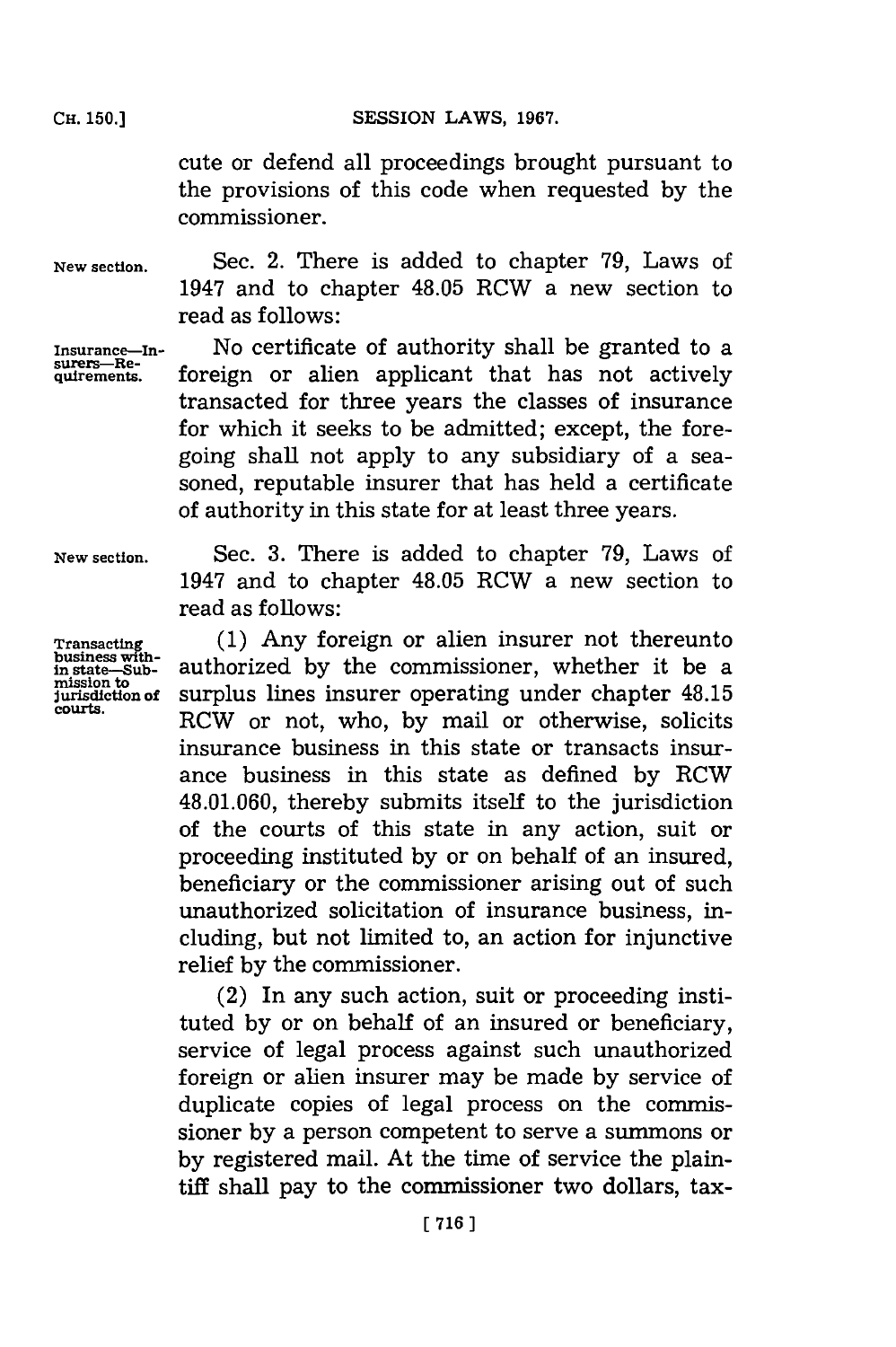cute or defend all proceedings brought pursuant to the provisions of this code when requested **by** the commissioner.

Sec. 2. There is added to chapter **79,** Laws of 1947 and to chapter 48.05 RCW a new section to

**New section.**

**Insurance-In-surers-Requirements.**

read as follows:

No certificate of authority shall be granted to a foreign or alien applicant that has not actively transacted for three years the classes of insurance for which it seeks to be admitted; except, the foregoing shall not apply to any subsidiary of a seasoned, reputable insurer that has held a certificate of authority in this state for at least three years.

**New section.**

**Transactin business with-in state-Submission to jurisdiction of courts.**

Sec. **3.** There is added to chapter **79,** Laws of 1947 and to chapter 48.05 RCW a new section to read as follows:

**(1)** Any foreign or alien insurer not thereunto authorized **by** the commissioner, whether it be a surplus lines insurer operating under chapter 48.15 RCW or not, who, **by** mail or otherwise, solicits insurance business in this state or transacts insurance business in this state as defined **by** RCW 48.01.060, thereby submits itself to the jurisdiction of the courts of this state in any action, suit or proceeding instituted **by** or on behalf of an insured, beneficiary or the commissioner arising out of such unauthorized solicitation of insurance business, including, but not limited to, an action for injunctive relief **by** the commissioner.

(2) In any such action, suit or proceeding instituted **by** or on behalf of an insured or beneficiary, service of legal process against such unauthorized foreign or alien insurer may be made **by** service of duplicate copies of legal process on the commissioner **by** a person competent to serve a summons or **by** registered mail. At the time of service the plaintiff shall pay to the commissioner two dollars, tax-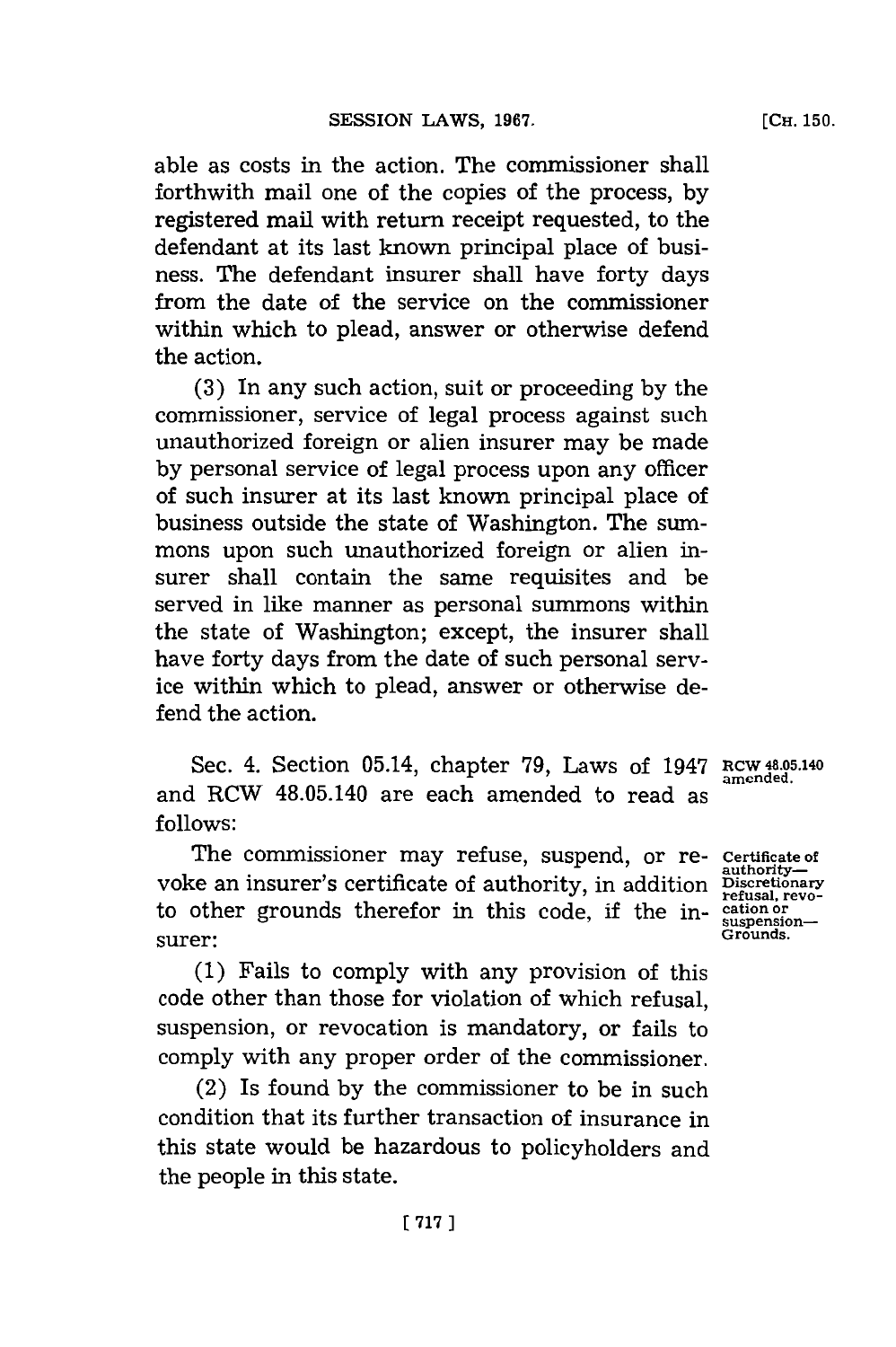**[CH. 150.**

able as costs in the action. The commissioner shall forthwith mail one of the copies of the process, **by** registered mail with return receipt requested, to the defendant at its last known principal place of business. The defendant insurer shall have forty days from the date of the service on the commissioner within which to plead, answer or otherwise defend the action.

**(3)** In any such action, suit or proceeding **by** the commissioner, service of legal process against such unauthorized foreign or alien insurer may be made **by** personal service of legal process upon any officer of such insurer at its last known principal place of business outside the state of Washington. The summons upon such unauthorized foreign or alien insurer shall contain the same requisites and be served in like manner as personal summons within the state of Washington; except, the insurer shall have forty days from the date of such personal service within which to plead, answer or otherwise defend the action.

Sec. 4. Section 05.14, chapter 79, Laws of 1947 RCW 48.05.140 and RCW 48.05.140 are each amended to read as **follows:**

The commissioner may refuse, suspend, or re- **Certificate of** voke an insurer's certificate of authority, in addition **Discretionary**<br>refusal, revoto other grounds therefor in this code, if the in-<br>suspension-<br>Grounds. surer: **Grounds.** 

**(1)** Fails to comply with any provision of this code other than those for violation of which refusal, suspension, or revocation is mandatory, or fails to comply with any proper order of the commissioner.

(2) Is found **by** the commissioner to be in such condition that its further transaction of insurance in this state would be hazardous to policyholders and the people in this state.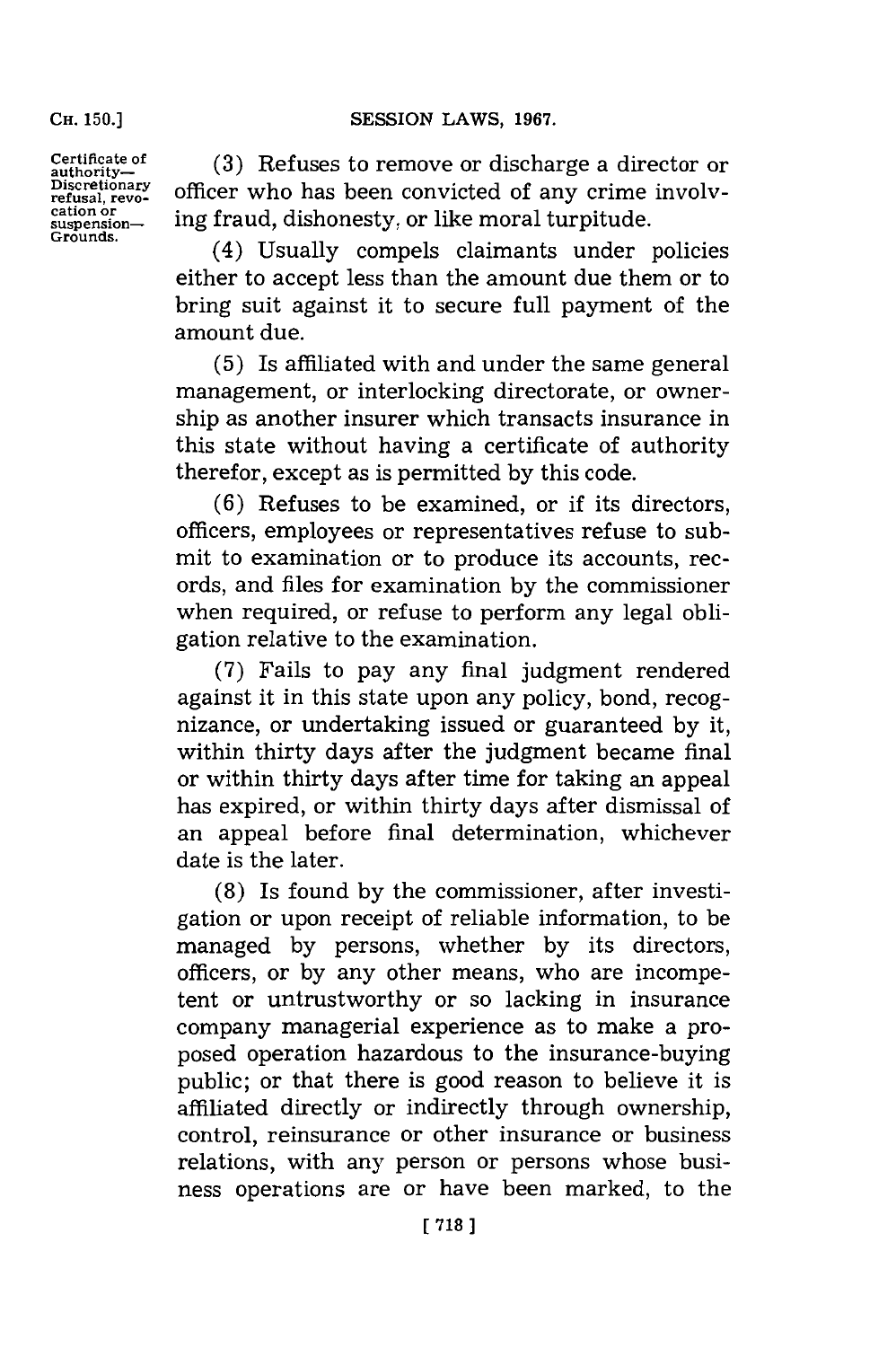### SESSION LAWS, 1967.

**CH. 150.]**

Certificate of (3) Refuses to remove or discharge a director of authority-<br>authority-<br>Discretionary officer who has been convicted of any crime involved Discretionary officer who has been convicted of any crime involv-<br>refusal, revo-<br>cation or  $\frac{\text{cation or}}{\text{supansion}}$  ing fraud, dishonesty, or like moral turpitude.

(4) Usually compels claimants under policies either to accept less than the amount due them or to bring suit against it to secure full payment of the amount due.

**(5)** Is affiliated with and under the same general management, or interlocking directorate, or ownership as another insurer which transacts insurance in this state without having a certificate of authority therefor, except as is permitted by this code.

**(6)** Refuses to be examined, or if its directors, officers, employees or representatives refuse to submit to examination or to produce its accounts, records, and files for examination **by** the commissioner when required, or refuse to perform any legal obligation relative to the examination.

**(7)** Fails to pay any final judgment rendered against it in this state upon any policy, bond, recognizance, or undertaking issued or guaranteed **by** it, within thirty days after the judgment became final or within thirty days after time for taking an appeal has expired, or within thirty days after dismissal of an appeal before final determination, whichever date is the later.

**(8)** Is found **by** the commissioner, after investigation or upon receipt of reliable information, to be managed **by** persons, whether **by** its directors, officers, or **by** any other means, who are incompetent or untrustworthy or so lacking in insurance company managerial experience as to make a proposed operation hazardous to the insurance-buying public; or that there is good reason to believe it is affiliated directly or indirectly through ownership, control, reinsurance or other insurance or business relations, with any person or persons whose business operations are or have been marked, to the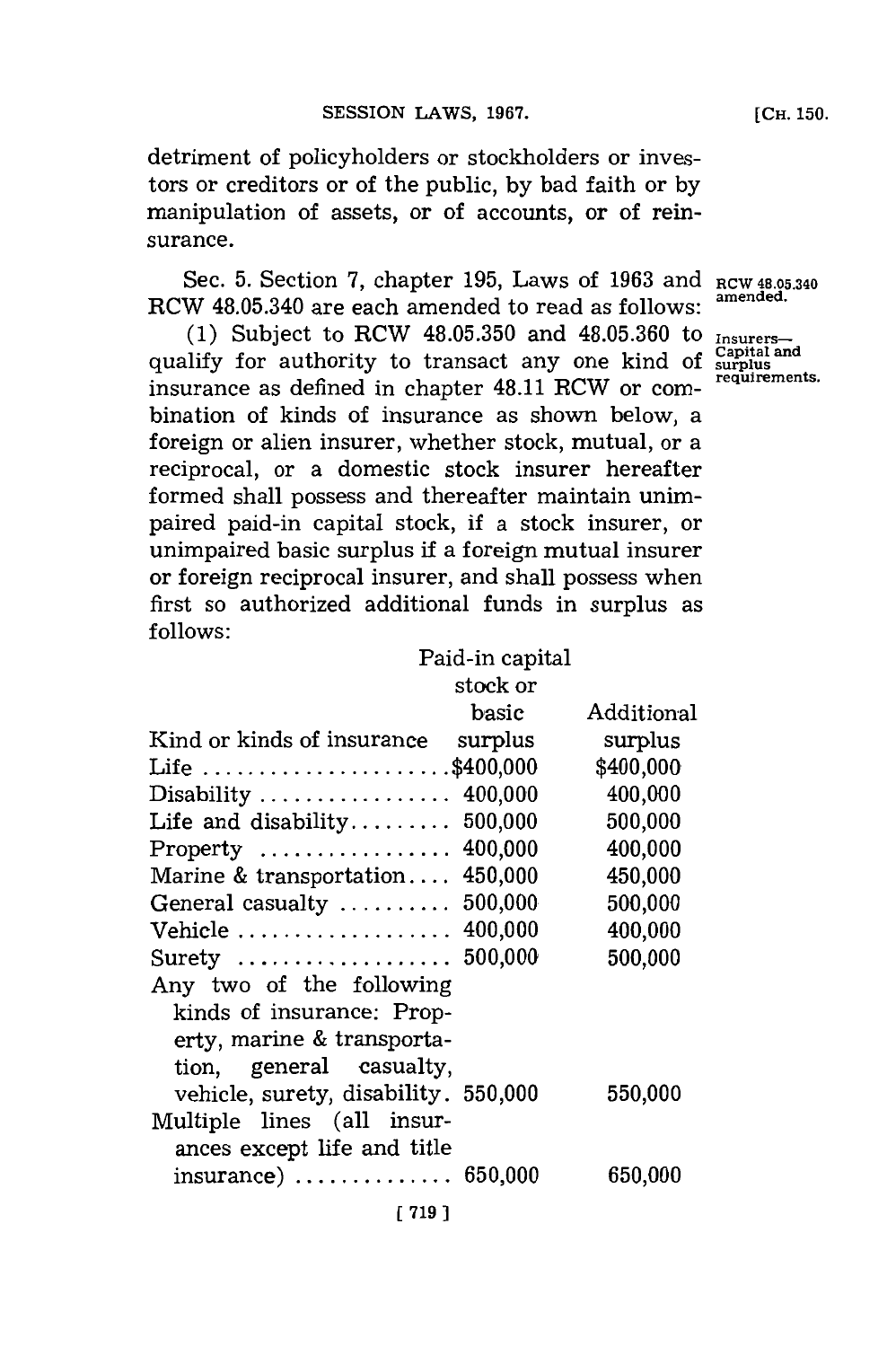detriment of policyholders or stockholders or investors or creditors or of the public, **by** bad faith or **by** manipulation of assets, or of accounts, or of reinsurance.

Sec. **5.** Section **7,** chapter **195,** Laws of **1963** and **RCW 48.05.340** RCW 48.05.340 are each amended to read as follows:

**(1)** Subject to RCW **48.05.350** and **48.05.360** to **Insurers~** qualify for authority to transact any one kind of surplus requirements. insurance as defined in chapter 48.11 RCW or combination of kinds of insurance as shown below, a foreign or alien insurer, whether stock, mutual, or a reciprocal, or a domestic stock insurer hereafter formed shall possess and thereafter maintain unimpaired paid-in capital stock, if a stock insurer, or unimpaired basic surplus if a foreign mutual insurer or foreign reciprocal insurer, and shall possess when first so authorized additional funds in surplus as **follows:**

|                                      | Paid-in capital |            |
|--------------------------------------|-----------------|------------|
|                                      | stock or        |            |
|                                      | basic           | Additional |
| Kind or kinds of insurance           | surplus         | surplus    |
| Life \$400,000                       |                 | \$400,000  |
| Disability  400,000                  |                 | 400,000    |
| Life and disability                  | 500,000         | 500,000    |
| $Property \dots \dots \dots \dots$   | 400,000         | 400,000    |
| Marine & transportation              | 450,000         | 450,000    |
| General casualty  500,000            |                 | 500,000    |
| Vehicle  400,000                     |                 | 400,000    |
| Surety  500,000                      |                 | 500,000    |
| Any two of the following             |                 |            |
| kinds of insurance: Prop-            |                 |            |
| erty, marine & transporta-           |                 |            |
| tion, general casualty,              |                 |            |
| vehicle, surety, disability. 550,000 |                 | 550,000    |
| Multiple lines (all insur-           |                 |            |
| ances except life and title          |                 |            |
| $insurance)$ 650,000                 |                 | 650,000    |
| [719]                                |                 |            |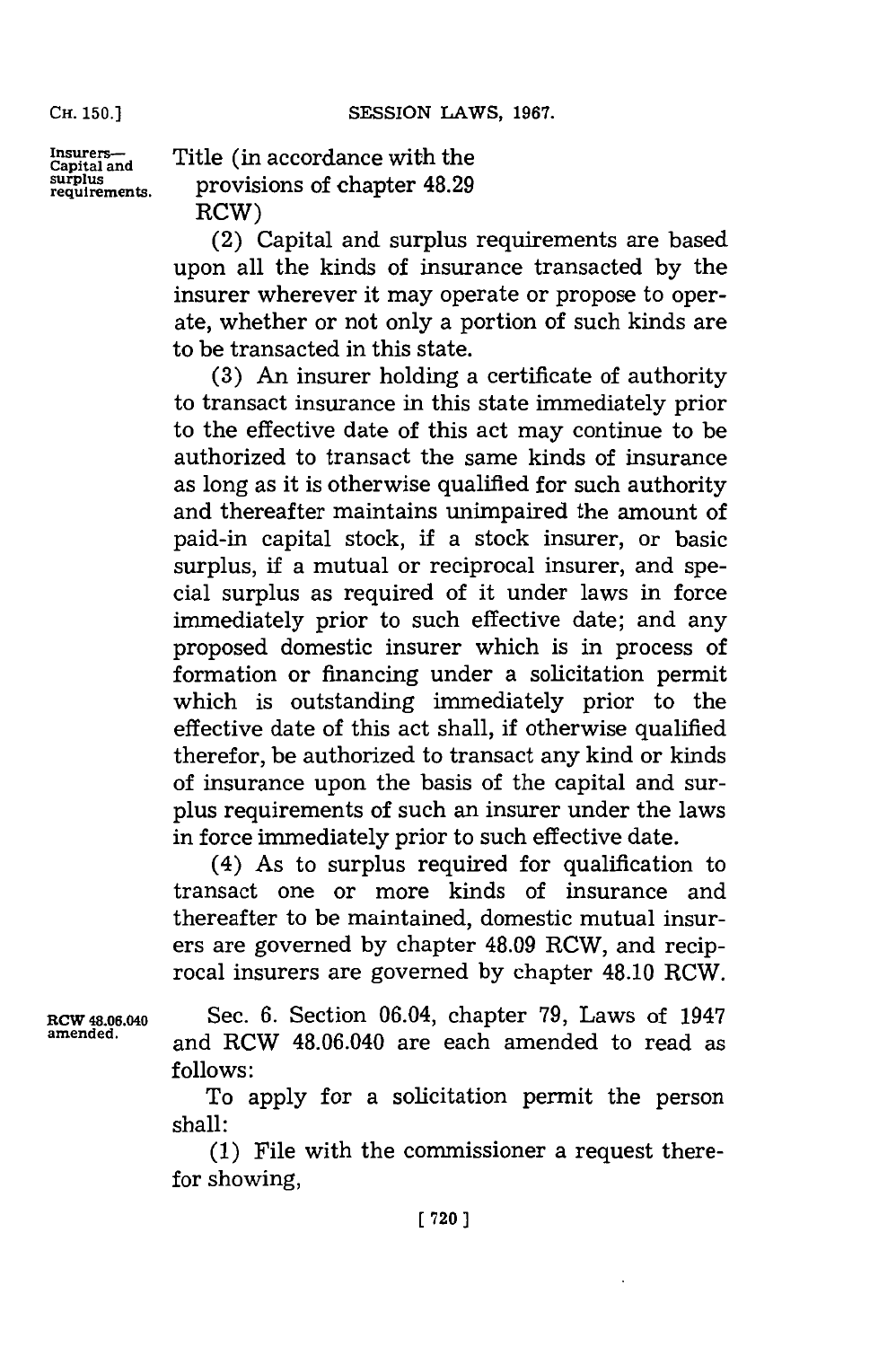Insurers-capital and Title (in accordance with the surplus<br>requirements. provisions of chapter 48.29 RCW)

> (2) Capital and surplus requirements are based upon all the kinds of insurance transacted **by** the insurer wherever it may operate or propose to operate, whether or not only a portion of such kinds are to be transacted in this state.

> **(3)** An insurer holding a certificate of authority to transact insurance in this state immediately prior to the effective date of this act may continue to be authorized to transact the same kinds of insurance as long as it is otherwise qualified for such authority and thereafter maintains unimpaired the amount of paid-in capital stock, **if** a stock insurer, or basic surplus, if a mutual or reciprocal insurer, and special surplus as required of it under laws in force immediately prior to such effective date; and any proposed domestic insurer which is in process of formation or financing under a solicitation permit which is outstanding immediately prior to the effective date of this act shall, if otherwise qualified therefor, be authorized to transact any kind or kinds of insurance upon the basis of the capital and surplus requirements of such an insurer under the laws in force immediately prior to such effective date.

> (4) As to surplus required for qualification to transact one or more kinds of insurance and thereafter to be maintained, domestic mutual insurers are governed **by** chapter 48.09 RCW, and reciprocal insurers are governed **by** chapter 48.10 RCW.

**RCW 48.06.040** Sec. **6.** Section 06.04, chapter **79,** Laws of 1947 and RCW 48.06.040 are each amended to read as **follows:**

> To apply for a solicitation permit the person shall:

> **(1)** File with the commissioner a request therefor showing,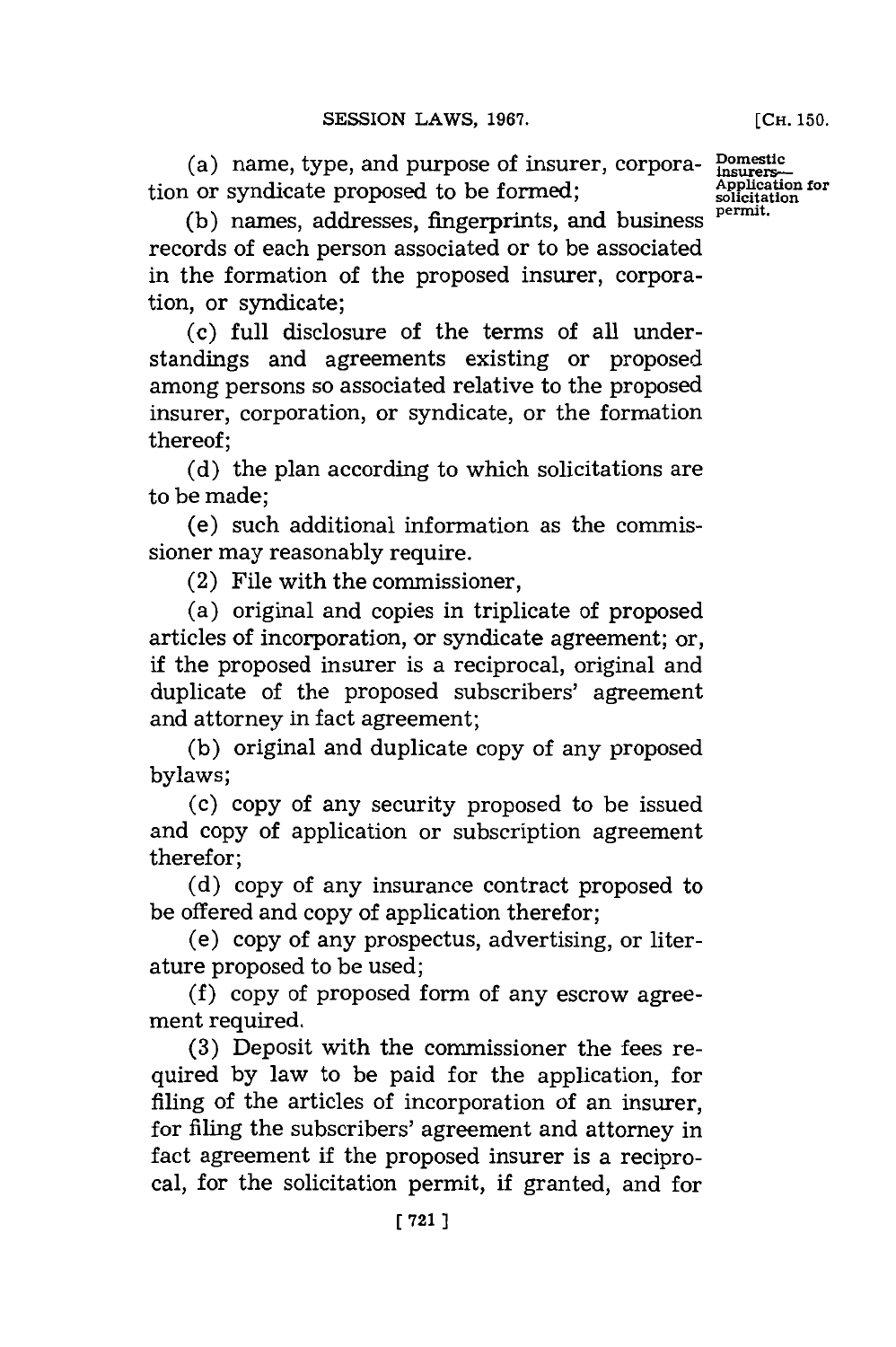(a) name, type, and purpose of insurer, corpora-  $\frac{\text{Domestic}}{\text{Application for}}$  or syndicate proposed to be formed; tion or syndicate proposed to be formed; **Applicate** solicitation or syndicate proposed to be formed;

(b) names, addresses, fingerprints, and business records of each person associated or to be associated in the formation of the proposed insurer, corporation, or syndicate;

(c) full disclosure of the terms of all understandings and agreements existing or proposed among persons so associated relative to the proposed insurer, corporation, or syndicate, or the formation thereof;

**(d)** the plan according to which solicitations are to be made;

(e) such additional information as the commissioner may reasonably require.

(2) File with the commissioner,

(a) original and copies in triplicate of proposed articles of incorporation, or syndicate agreement; or, if the proposed insurer is a reciprocal, original and duplicate of the proposed subscribers' agreement and attorney in fact agreement;

**(b)** original and duplicate copy of any proposed bylaws;

(c) copy of any security proposed to be issued and copy of application or subscription agreement therefor;

**(d)** copy of any insurance contract proposed to be offered and copy of application therefor;

(e) copy of any prospectus, advertising, or literature proposed to be used;

**(f)** copy of proposed form of any escrow agreement required.

**(3)** Deposit with the commissioner the fees required **by** law to be paid for the application, for filing of the articles of incorporation of an insurer, for filing the subscribers' agreement and attorney in fact agreement **if** the proposed insurer is a reciprocal, for the solicitation permit, if granted, and for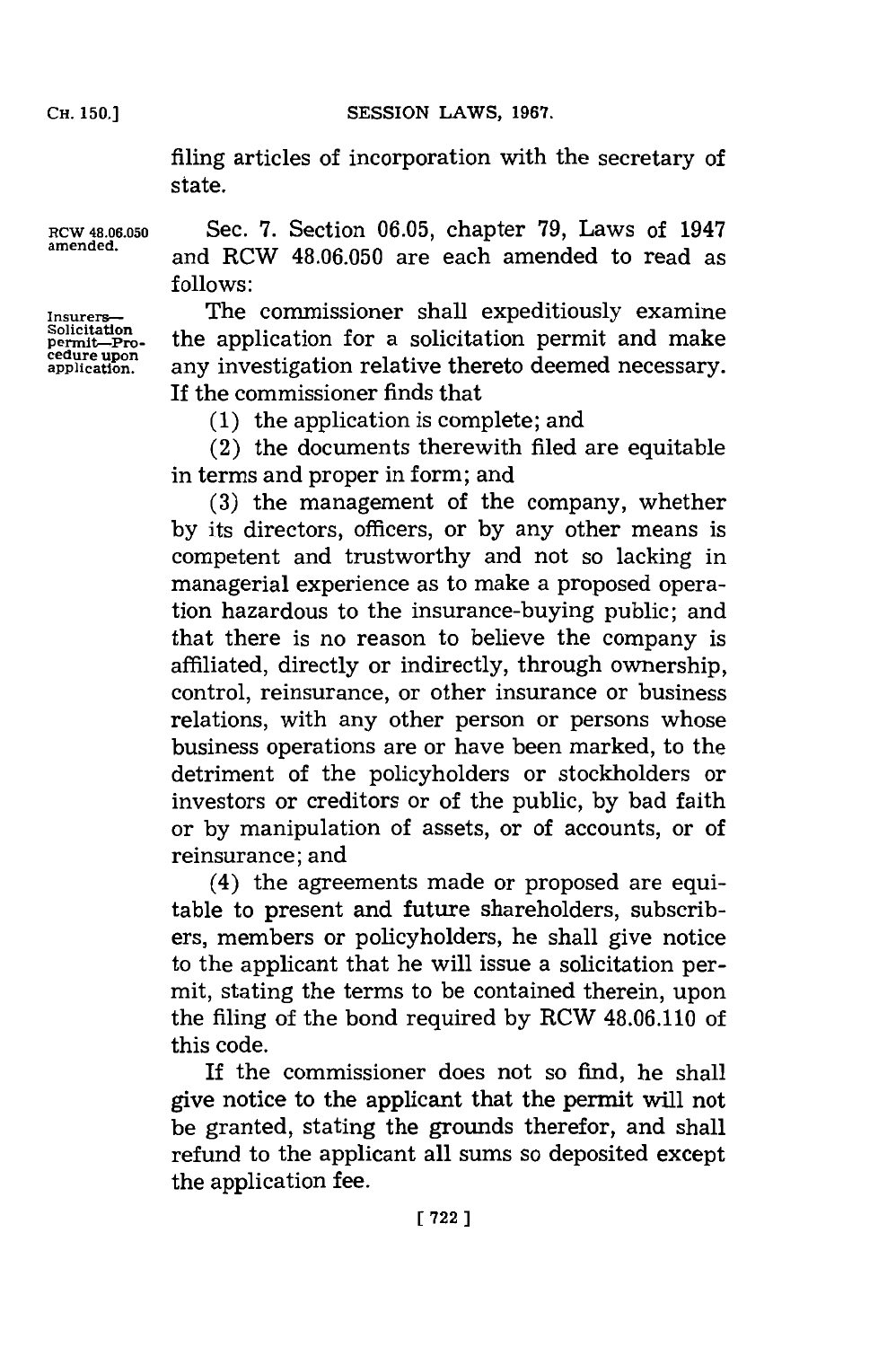filing articles of incorporation with the secretary of state.

**RCW 48.06.050** Sec. **7.** Section **06.05,** chapter **79,** Laws of 1947 and RCW 48.06.050 are each amended to read as **follows:**

permit—Pro-<br>cedure upon<br>application.

**Insurers~** The commissioner shall expeditiously examine the application for a solicitation permit and make any investigation relative thereto deemed necessary. If the commissioner finds that

**(1)** the application is complete; and

(2) the documents therewith filed are equitable in terms and proper in form; and

**(3)** the management of the company, whether **by** its directors, officers, or **by** any other means is competent and trustworthy and not so lacking in managerial experience as to make a proposed operation hazardous to the insurance-buying public; and that there is no reason to believe the company is affiliated, directly or indirectly, through ownership, control, reinsurance, or other insurance or business relations, with any other person or persons whose business operations are or have been marked, to the detriment of the policyholders or stockholders or investors or creditors or of the public, **by** bad faith or **by** manipulation of assets, or of accounts, or of reinsurance; and

(4) the agreements made or proposed are equitable to present and future shareholders, subscribers, members or policyholders, he shall give notice to the applicant that he will issue a solicitation permit, stating the terms to be contained therein, upon the filing of the bond required **by** RCW 48.06.110 of this code.

If the commissioner does not so find, he shall give notice to the applicant that the permit will not be granted, stating the grounds therefor, and shall refund to the applicant all sums so deposited except the application fee.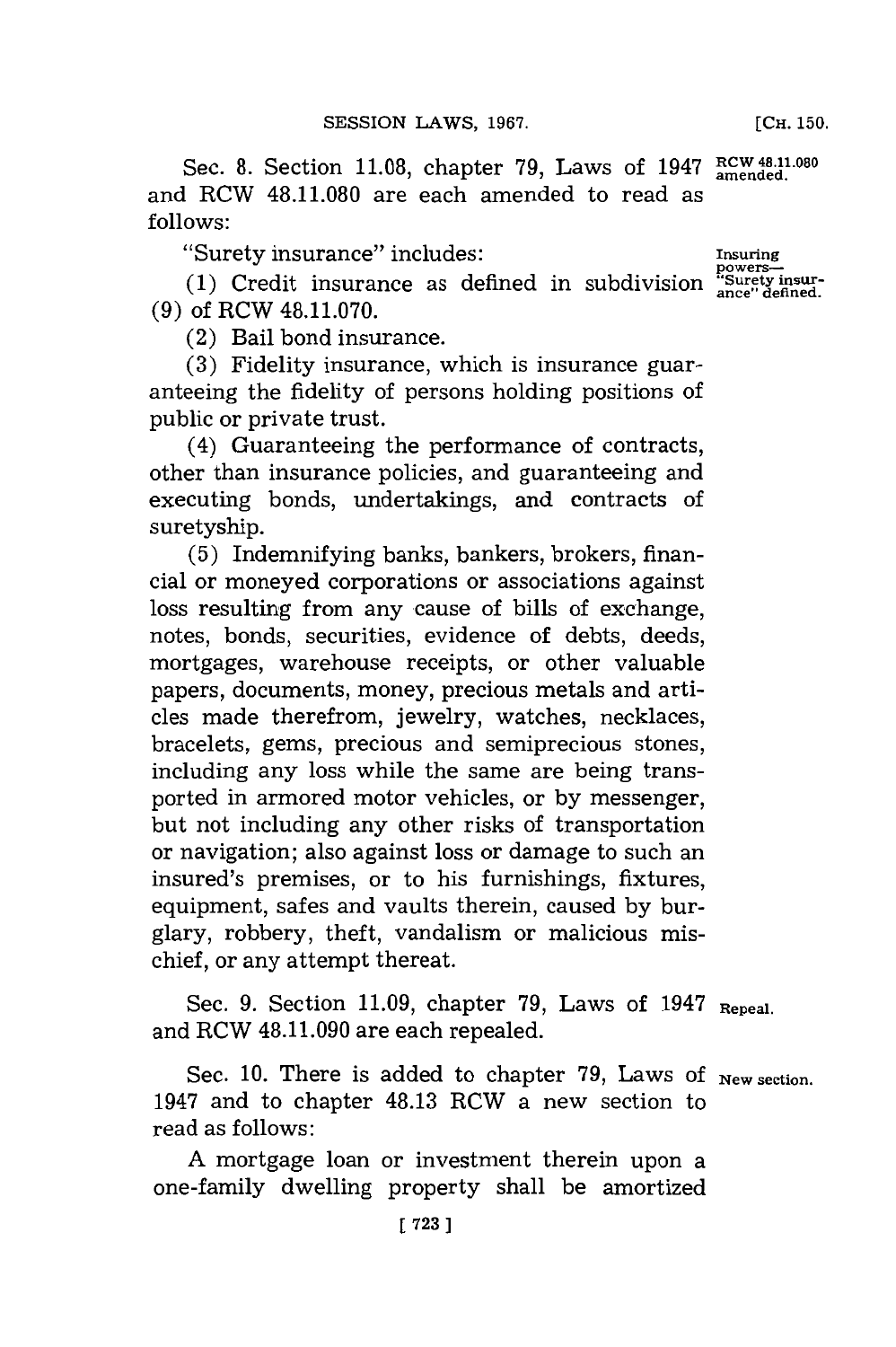Sec. 8. Section 11.08, chapter 79, Laws of 1947 RCW 48.11.080 and RCW **48.11.080** are each amended to read as **follows:**

"Surety insurance"~ includes: **Insuring**

**(1)** Credit insurance as defined in subdivision **"Surety insur- (9)** of RCW **48.11.070.**

(2) Bail bond insurance.

**(3)** Fidelity insurance, which is insurance guaranteeing the fidelity of persons holding positions of public or private trust.

(4) Guaranteeing the performance of contracts, other than insurance policies, and guaranteeing and executing bonds, undertakings, and contracts of suretyship.

**(5)** Indemnifying banks, bankers, brokers, financial or moneyed corporations or associations against loss resulting from any cause of bills of exchange, notes, bonds, securities, evidence of debts, deeds, mortgages, warehouse receipts, or other valuable papers, documents, money, precious metals and articles made therefrom, jewelry, watches, necklaces, bracelets, gems, precious and semiprecious stones, including any loss while the same are being transported in armored motor vehicles, or **by** messenger, but not including any other risks of transportation or navigation; also against loss or damage to such an insured's premises, or to his furnishings, fixtures, equipment, safes and vaults therein, caused **by** burglary, robbery, theft, vandalism or malicious mischief, or any attempt thereat.

Sec. **9.** Section **11.09,** chapter **79,** Laws of 1947 **Repeal.** and RCW 48.11.090 are each repealed.

Sec. 10. There is added to chapter 79, Laws of **New section**. 1947 and to chapter 48.13 RCW a new section to read as follows:

**A** mortgage loan or investment therein upon a one-family dwelling property shall be amortized **[CH. 150.**

powers—<br>"Surety insur-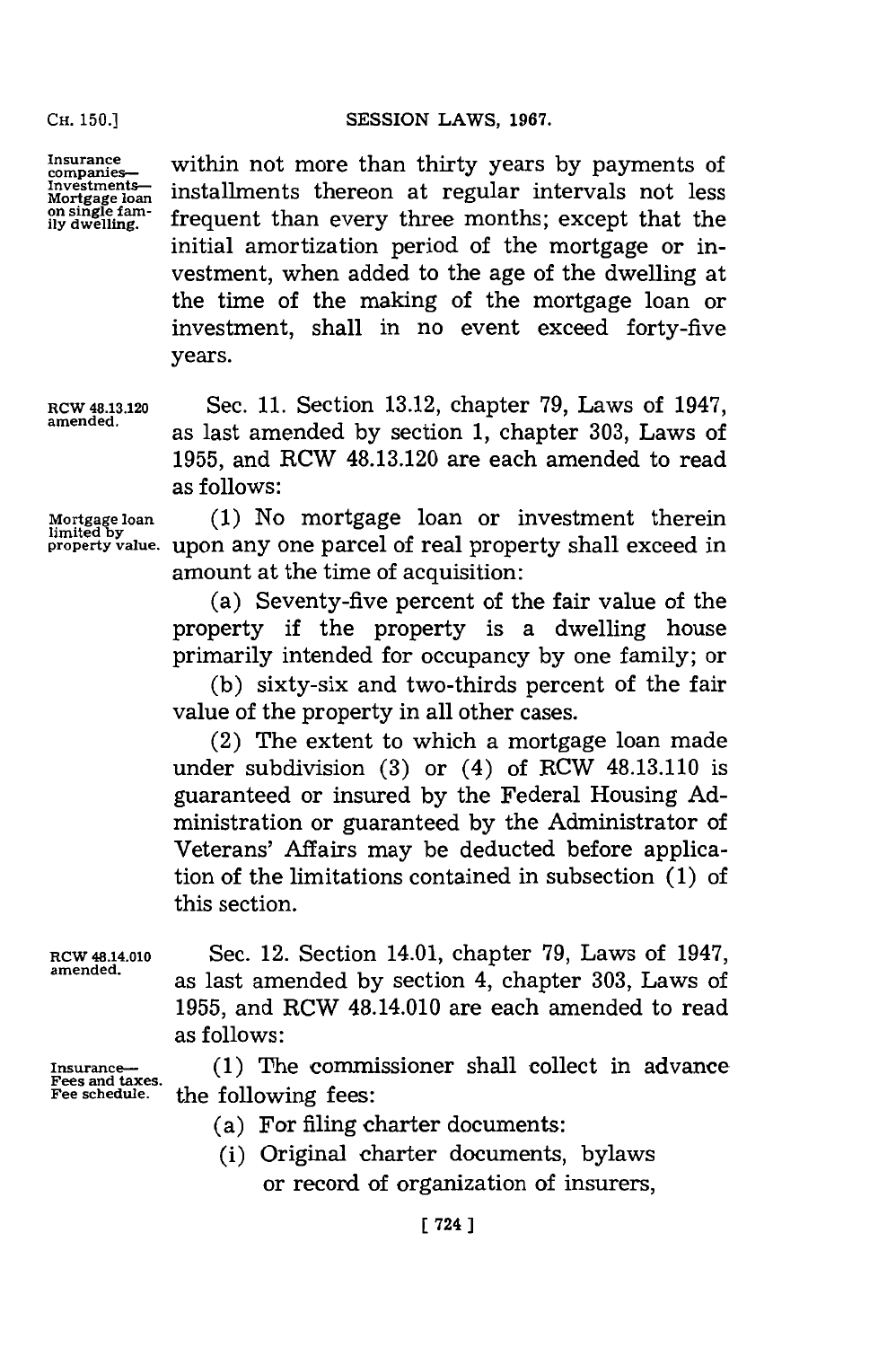**Insuraes.** within not more than thirty years **by** payments of Insurance<br> **Investments**<br> *Mortgage loan* installments thereon at regular intervals not less<br> *Mortgage loan*<br> **Investment**<br> **Mortgage fam-**<br> **CONFIGUATE:** Mortgage loan Installments thereon at regular intervals not less<br>on single fam-<br>ily dwelling. **frequent than every three months**; except that the initial amortization period of the mortgage or investment, when added to the age of the dwelling at the time of the making of the mortgage loan or investment, shall in no event exceed forty-five years.

**RCW 48.13.120** Sec. **11.** Section **13.12,** chapter **'79,** Laws of 1947, amened. as last amended **by** section **1,** chapter **303,** Laws of **1955,** and RCW 48.13.120 are each amended to read as follows:

**Mortgage loan (1)** No mortgage loan or investment therein **property value,** Upon any one parcel of real property shall exceed in amount at the time of acquisition:

> (a) Seventy-five percent of the fair value of the property if the property is a dwelling house primarily intended for occupancy **by** one family; or

> **(b)** sixty-six and two-thirds percent of the fair value of the property in all other cases.

> (2) The extent to which a mortgage loan made under subdivision **(3)** or (4) of RCW 48.13.110 is guaranteed or insured **by** the Federal Housing **Ad**ministration or guaranteed **by** the Administrator of Veterans' Affairs may be deducted before application of the limitations contained in subsection **(1)** of this section.

RCW 48.14.010 Sec. 12. Section 14.01, chapter **79,** Laws of 1947, as last amended by section 4, chapter 303, Laws of **1955,** and RCW 48.14.010 are each amended to read as follows:

- Insurance- (1) The commissioner shall collect in advance Fees and taxes. **Fee schedule,** the following fees:
	- (a) For filing charter documents:
	- (i) Original charter documents, bylaws or record of organization of insurers,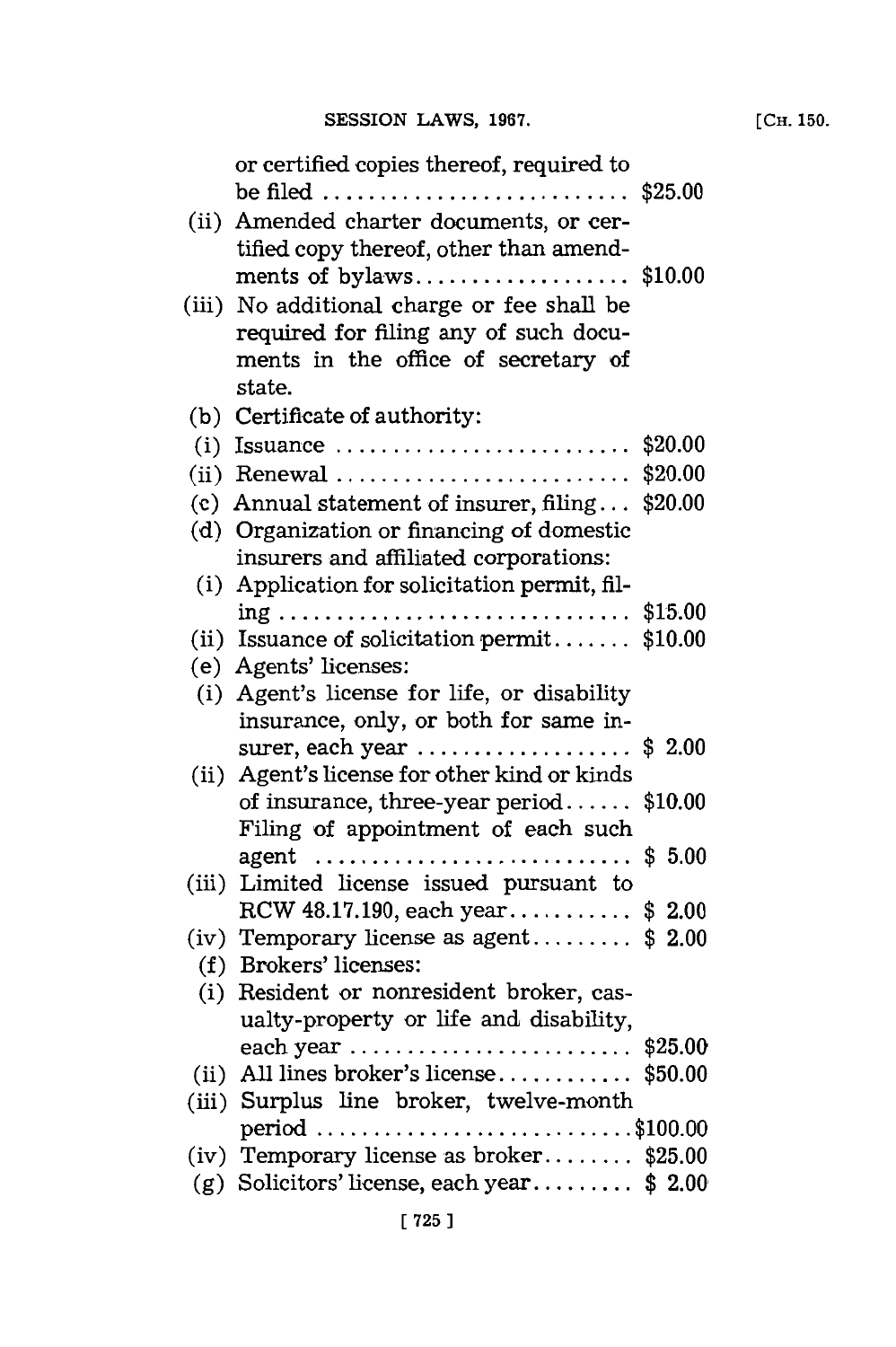|       | or certified copies thereof, required to                                                          |         |
|-------|---------------------------------------------------------------------------------------------------|---------|
|       | be filed \$25.00                                                                                  |         |
|       | (ii) Amended charter documents, or cer-                                                           |         |
|       | tified copy thereof, other than amend-                                                            |         |
|       | ments of bylaws\$10.00                                                                            |         |
| (iii) | No additional charge or fee shall be                                                              |         |
|       | required for filing any of such docu-                                                             |         |
|       | ments in the office of secretary of                                                               |         |
|       | state.                                                                                            |         |
|       | (b) Certificate of authority:                                                                     |         |
|       | (i) Issuance $\dots\dots\dots\dots\dots\dots\dots\dots\dots\dots$                                 | \$20.00 |
|       | $(ii)$ Renewal                                                                                    | \$20.00 |
|       | (c) Annual statement of insurer, filing                                                           | \$20.00 |
|       | (d) Organization or financing of domestic                                                         |         |
|       | insurers and affiliated corporations:                                                             |         |
| (i)   | Application for solicitation permit, fil-                                                         |         |
|       | $ing \ldots \ldots \ldots \ldots \ldots \ldots \ldots \ldots \ldots$                              | \$15.00 |
|       | (ii) Issuance of solicitation permit $$10.00$                                                     |         |
|       | (e) Agents' licenses:                                                                             |         |
|       | (i) Agent's license for life, or disability                                                       |         |
|       | insurance, only, or both for same in-                                                             |         |
|       | surer, each year $\dots\dots\dots\dots\dots\dots$<br>(ii) Agent's license for other kind or kinds | \$2.00  |
|       | of insurance, three-year period                                                                   | \$10.00 |
|       | Filing of appointment of each such                                                                |         |
|       | $agent$                                                                                           | \$5.00  |
|       | (iii) Limited license issued pursuant to                                                          |         |
|       | RCW 48.17.190, each year\$ 2.00                                                                   |         |
|       | (iv) Temporary license as agent $$2.00$                                                           |         |
|       | (f) Brokers' licenses:                                                                            |         |
| (i)   | Resident or nonresident broker, cas-                                                              |         |
|       | ualty-property or life and disability,                                                            |         |
|       | each year \$25.00                                                                                 |         |
|       | (ii) All lines broker's license $$50.00$                                                          |         |
|       | (iii) Surplus line broker, twelve-month                                                           |         |
|       |                                                                                                   |         |
|       | (iv) Temporary license as broker \$25.00                                                          |         |
| (g)   | Solicitors' license, each year\$2.00                                                              |         |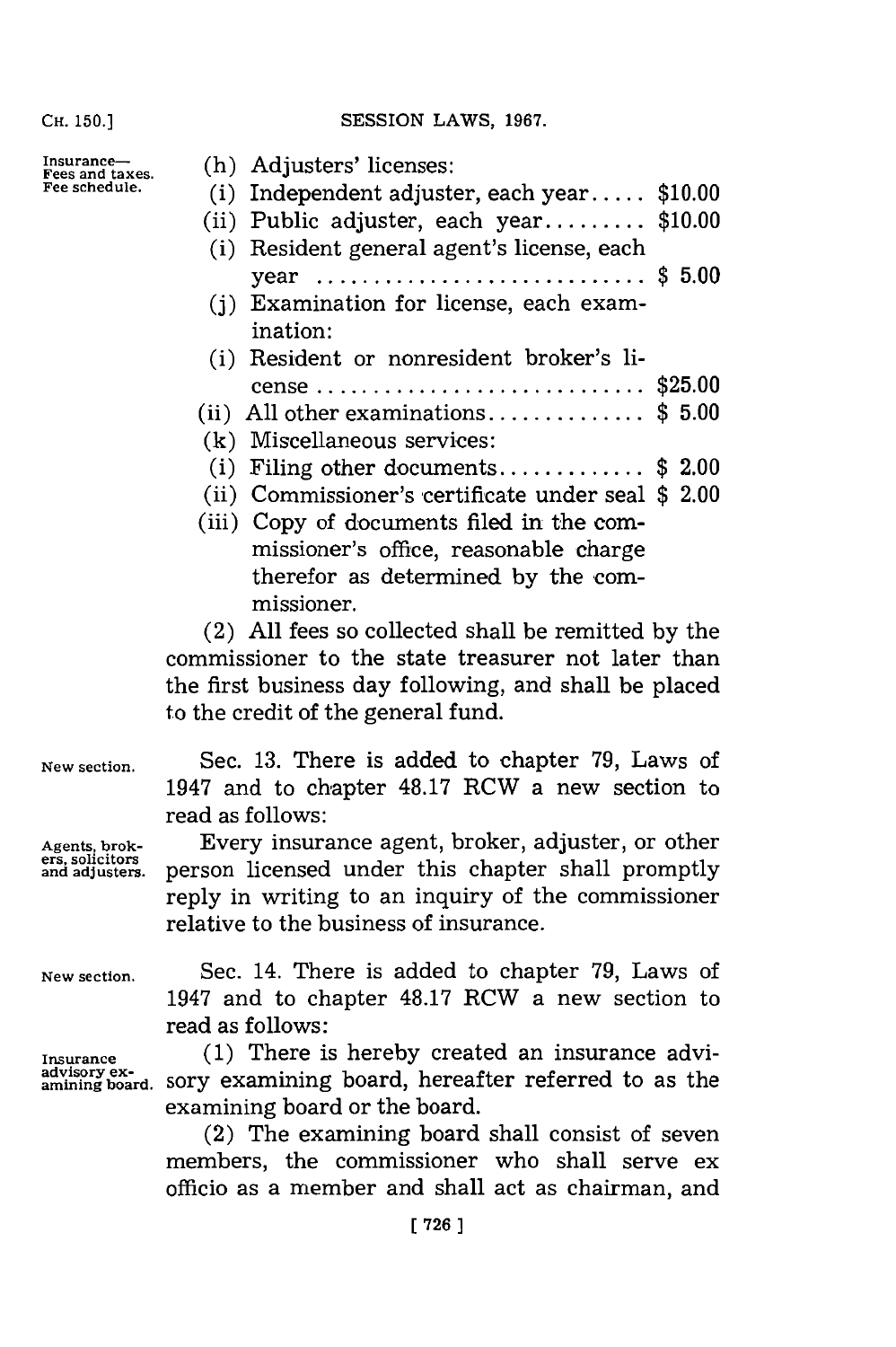SESSION LAWS, 1967.

**Insurance-Fees and taxes. Fee schedule.**

| (h) Adjusters' licenses:                           |  |
|----------------------------------------------------|--|
| (i) Independent adjuster, each year $$10.00$       |  |
| (ii) Public adjuster, each year \$10.00            |  |
| (i) Resident general agent's license, each         |  |
| year \$ 5.00                                       |  |
| (i) Examination for license, each exam-            |  |
| ination:                                           |  |
| (i) Resident or nonresident broker's li-           |  |
|                                                    |  |
| (ii) All other examinations\$ 5.00                 |  |
| (k) Miscellaneous services:                        |  |
| (i) Filing other documents \$ 2.00                 |  |
| (ii) Commissioner's certificate under seal \$ 2.00 |  |
| (iii) Copy of documents filed in the com-          |  |
| missioner's office, reasonable charge              |  |
| therefor as determined by the com-                 |  |
| missioner.                                         |  |

(2) **All** fees so collected shall be remitted **by** the commissioner to the state treasurer not later than the first business day following, and shall be placed to the credit of the general fund.

**ers, solicitors**

**New section.**

**Insurance advisory ex- amining board.**

**New section.** Sec. **13.** There is added to chapter **79,** Laws of 1947 and to chapter **48.17** RCW a new section to read as follows:

> Every insurance agent, broker, adjuster, or other person licensed under this chapter shall promptly reply in writing to an inquiry of the commissioner relative to the business of insurance.

> Sec. 14. There is added to chapter **79,** Laws of 1947 and to chapter **48.17** RCW a new section to read as follows:

> **(1)** There is hereby created an insurance advisory examining board, hereafter referred to as the examining board or the board.

> (2) The examining board shall consist of seven members, the commissioner who shall serve ex officio as a member and shall act as chairman, and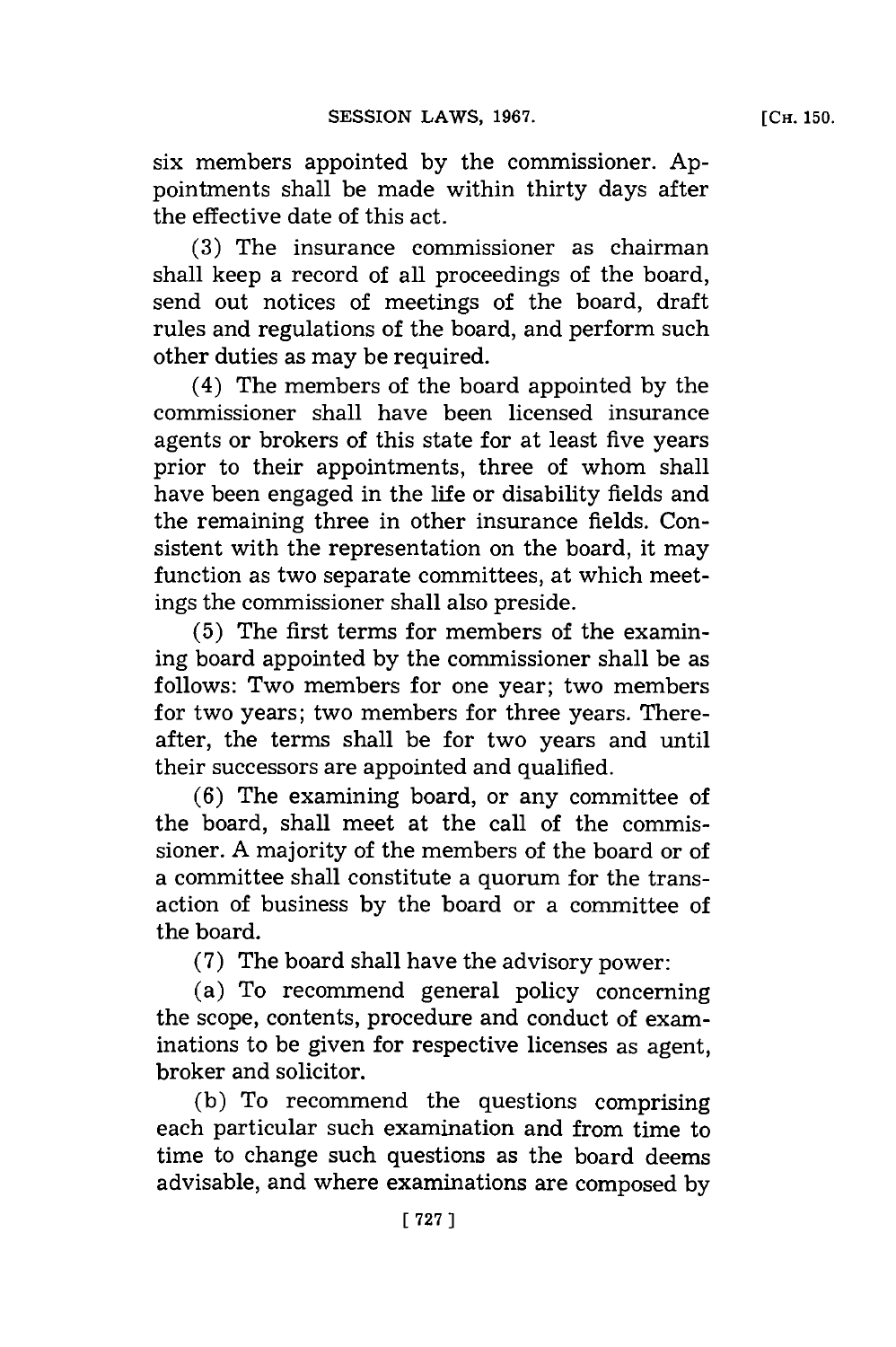six members appointed **by** the commissioner. **Ap**pointments shall be made within thirty days after the effective date of this act.

**(3)** The insurance commissioner as chairman shall keep a record of all proceedings of the board, send out notices of meetings of the board, draft rules and regulations of the board, and perform such other duties as may be required.

(4) The members of the board appointed **by** the commissioner shall have been licensed insurance agents or brokers of this state for at least five years prior to their appointments, three of whom shall have been engaged in the life or disability fields and the remaining three in other insurance fields. Consistent with the representation on the board, it may function as two separate committees, at which meetings the commissioner shall also preside.

**(5)** The first terms for members of the examining board appointed **by** the commissioner shall be as follows: Two members for one year; two members for two years; two members for three years. Thereafter, the terms shall be for two years and until their successors are appointed and qualified.

**(6)** The examining board, or any committee of the board, shall meet at the call of the commissioner. **A** majority of the members of the board or of a committee shall constitute a quorum for the transaction of business **by** the board or a committee of the board.

**(7)** The board shall have the advisory power:

(a) To recommend general policy concerning the scope, contents, procedure and conduct of examinations to be given for respective licenses as agent, broker and solicitor.

**(b)** To recommend the questions comprising each particular such examination and from time to time to change such questions as the board deems advisable, and where examinations are composed **by**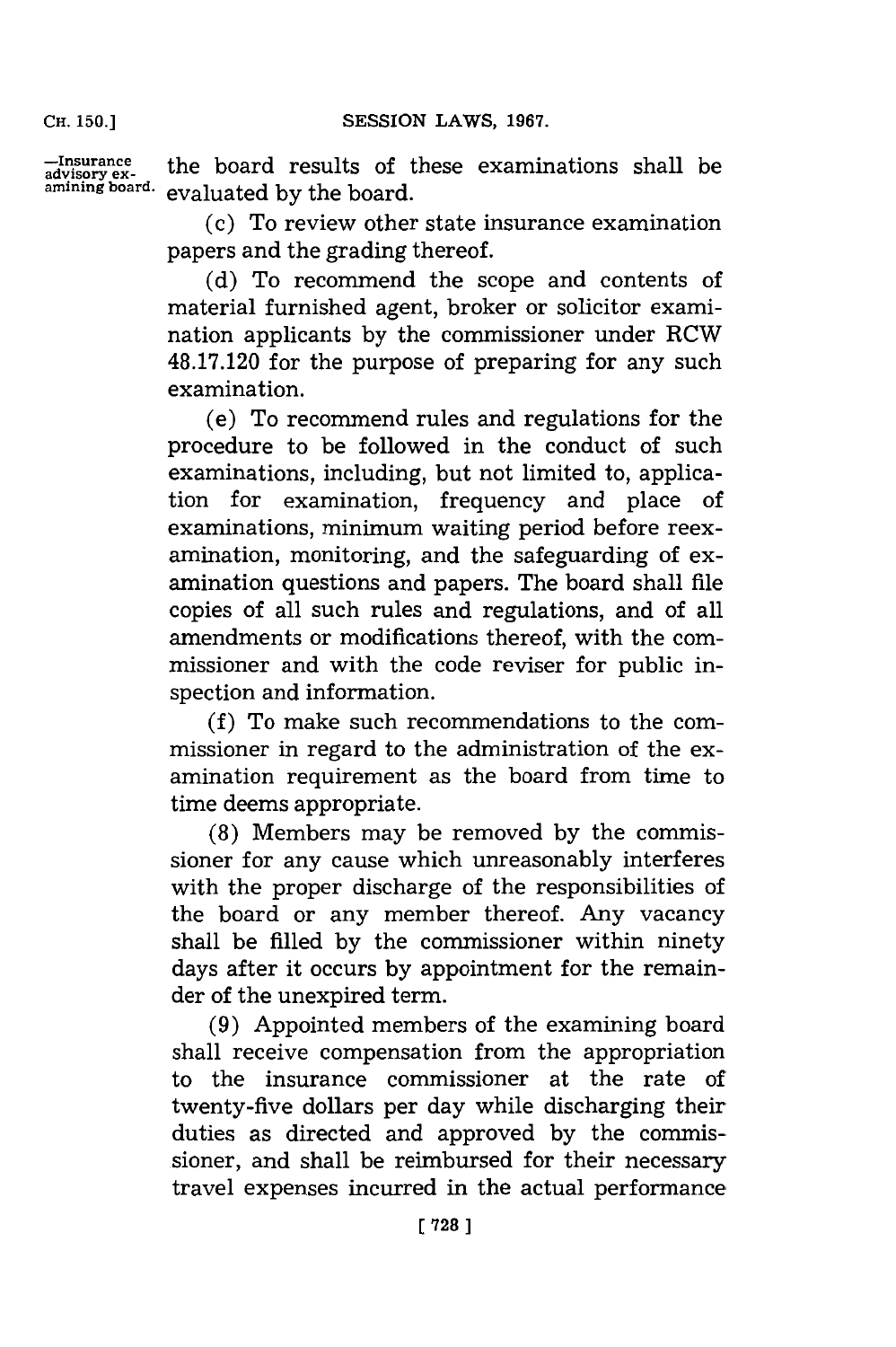-Insurance **the board results of these examinatior amining board,** evaluated **by** the board.

> (c) To review other state insurance examination papers and the grading thereof.

> **(d)** To recommend the scope and contents of material furnished agent, broker or solicitor examination applicants **by** the commissioner under RCW **48.17.120** for the purpose of preparing for any such examination.

> (e) To recommend rules and regulations for the procedure to be followed in the conduct of such examinations, including, but not limited to, application for examination, frequency and place of examinations, minimum waiting period before reexamination, monitoring, and the safeguarding of examination questions and papers. The board shall file copies of all such rules and regulations, and of all amendments or modifications thereof, with the commissioner and with the code reviser for public inspection and information.

> **(f)** To make such recommendations to the commissioner in regard to the administration of the examination requirement as the board from time to time deems appropriate.

> **(8)** Members may be removed **by** the commissioner for any cause which unreasonably interferes with the proper discharge of the responsibilities of the board or any member thereof. Any vacancy shall be filled **by** the commissioner within ninety days after it occurs **by** appointment for the remainder of the unexpired term.

> **(9)** Appointed members of the examining board shall receive compensation from the appropriation to the insurance commissioner at the rate of twenty-five dollars per day while discharging their duties as directed and approved **by** the commissioner, and shall be reimbursed for their necessary travel expenses incurred in the actual performance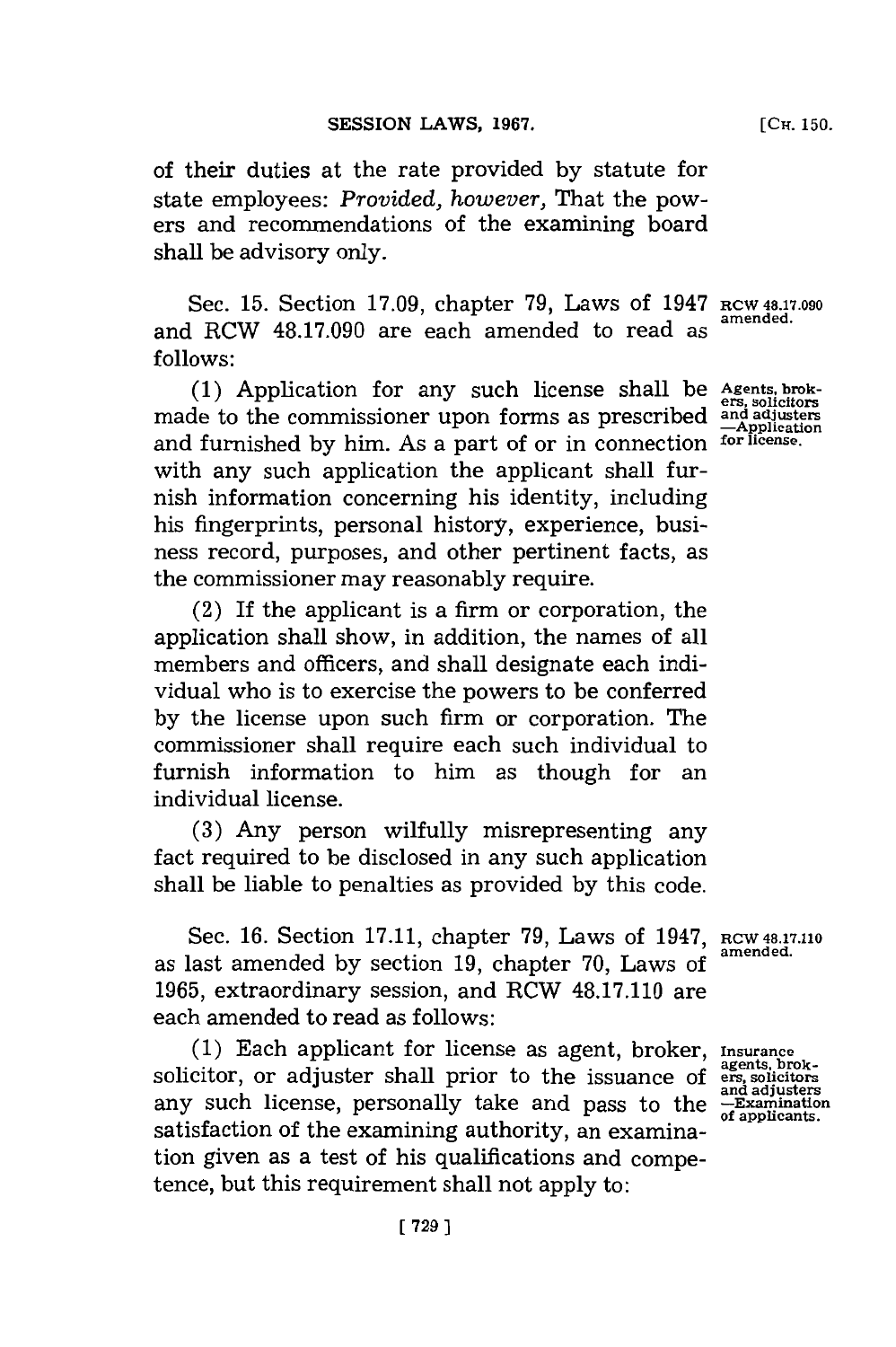of their duties at the rate provided **by** statute for state employees: *Provided, however,* That the powers and recommendations of the examining board shall be advisory only.

Sec. **15.** Section **17.09,** chapter **79,** Laws of 1947 **RCW4817.090** and RCW **48.17.090** are each amended to read as **follows:**

**(1)** Application for any such license shall be **Agents, brok**made to the commissioner upon forms as prescribed **and uste** and furnished **by** him. As a part of or in connection **for license.** with any such application the applicant shall furnish information concerning his identity, including his fingerprints, personal history, experience, business record, purposes, and other pertinent facts, as the commissioner may reasonably require.

(2) If the applicant is a firm or corporation, the application shall show, in addition, the names of all members and officers, and shall designate each individual who is to exercise the powers to be conferred **by** the license upon such firm or corporation. The commissioner shall require each such individual to furnish information to him as though for an individual license.

**(3)** Any person wilfully misrepresenting any fact required to be disclosed in any such application shall be liable to penalties as provided **by** this code.

Sec. **16.** Section **17.11,** chapter **79,** Laws of 1947, **Rcw 48.7.110** as last amended by section 19, chapter 70, Laws of **1965,** extraordinary session, and RCW **48.17.110** are each amended to read as follows:

**(1)** Each applicant for license as agent, broker, **Insurance** solicitor, or adjuster shall prior to the issuance of ers, solicitors<br>and adjusters any such license, personally take and pass to the **-Examination**<br>of applicants. satisfaction of the examining authority, an examination given as a test of his qualifications and competence, but this requirement shall not apply to: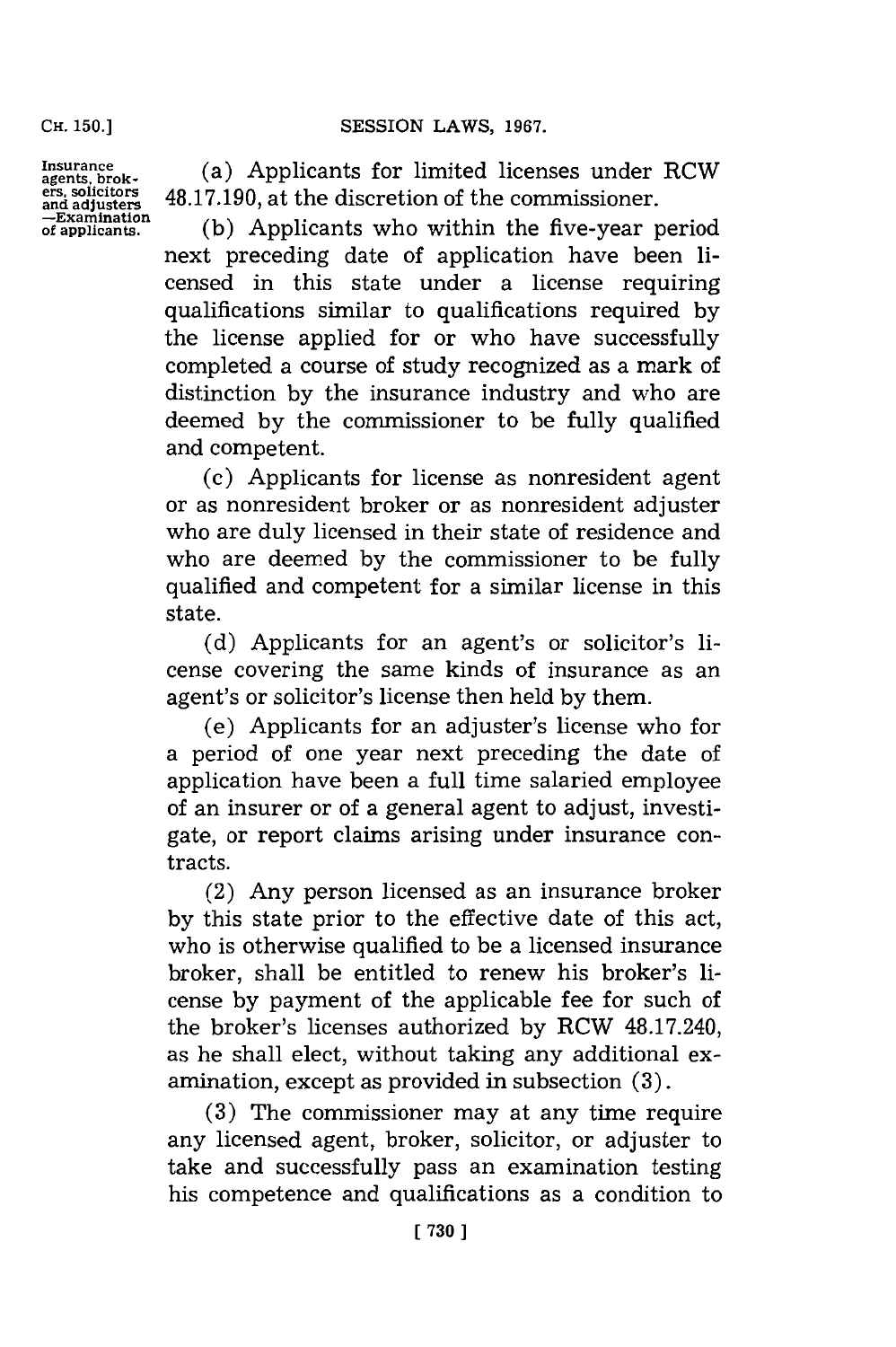**Insurance agents, brok- ers. solicitors and adjusters -Examination of applicants.**

(a) Applicants for limited licenses under RCW **48.17.190,** at the discretion of the commissioner.

**(b)** Applicants who within the five-year period next preceding date of application have been licensed in this state under a license requiring qualifications similar to qualifications required **by** the license applied for or who have successfully completed a course of study recognized as a mark of distinction **by** the insurance industry and who are deemed **by** the commissioner to be fully qualified and competent.

(c) Applicants for license as nonresident agent or as nonresident broker or as nonresident adjuster who are duly licensed in their state of residence and who are deemed **by** the commissioner to be fully qualified and competent for a similar license in this state.

(d) Applicants for an agent's or solicitor's license covering the same kinds of insurance as an agent's or solicitor's license then held **by** them.

(e) Applicants for an adjuster's license who for a period of one year next preceding the date of application have been a full time salaried employee of an insurer or of a general agent to adjust, investigate, or report claims arising under insurance contracts.

(2) Any person licensed as an insurance broker **by** this state prior to the effective date of this act, who is otherwise qualified to be a licensed insurance broker, shall be entitled to renew his broker's license **by** payment of the applicable fee for such of the broker's licenses authorized **by** RCW 48.17.240, as he shall elect, without taking any additional examination, except as provided in subsection **(3).**

**(3)** The commissioner may at any time require any licensed agent, broker, solicitor, or adjuster to take and successfully pass an examination testing his competence and qualifications as a condition to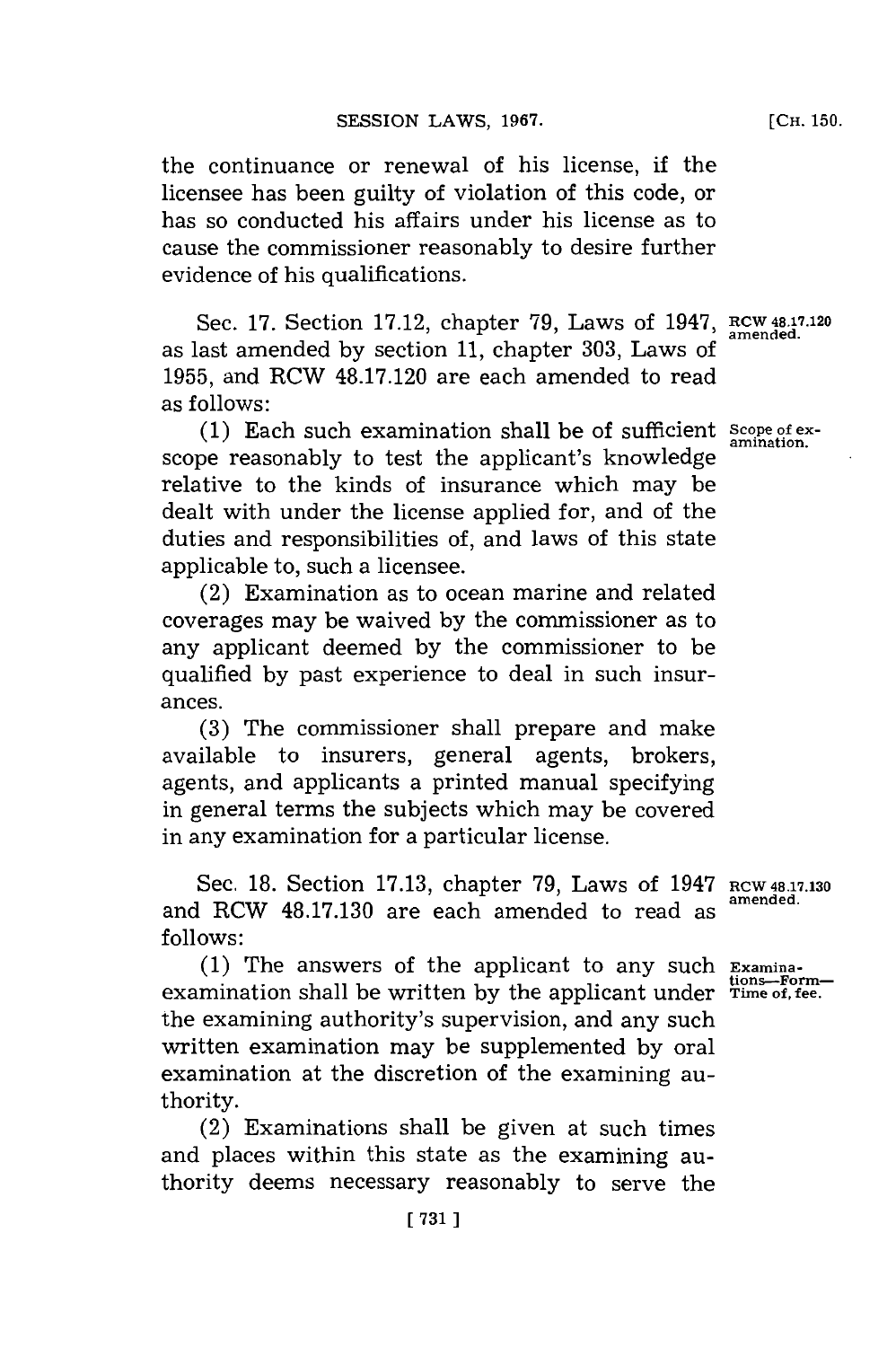the continuance or renewal of his license, if the licensee has been guilty of violation of this code, or has so conducted his affairs under his license as to cause the commissioner reasonably to desire further evidence of his qualifications.

Sec. **17.** Section **17.12,** chapter **79,** Laws of 1947, **RCW48.7.120** as last amended **by** section **11,** chapter **303,** Laws **of 1955,** and RCW **48.17.120** are each amended to read as follows:

**(1)** Each such examination shall be of sufficient **Scope of ex**scope reasonably to test the applicant's knowledge relative to the kinds of insurance which may be dealt with under the license applied for, and of the duties and responsibilities of, and laws of this state applicable to, such a licensee.

(2) Examination as to ocean marine and related coverages may be waived **by** the commissioner as to any applicant deemed **by** the commissioner to be qualified **by** past experience to deal in such insurances.

**(3)** The commissioner shall prepare and make available to insurers, general agents, brokers, agents, and applicants a printed manual specifying in general terms the subjects which may be covered in any examination for a particular license.

Sec. **18.** Section **17.13,** chapter **79,** Laws of 1947 **RCW 48.17.130** and RCW **48.17.130** are each amended to read as **f ollows:**

**(1)** The answers of the applicant to any such **Examina**examination shall be written **by** the applicant under **Time of, fee.** the examining authority's supervision, and any such written examination may be supplemented **by** oral examination at the discretion of the examining authority.

(2) Examinations shall be given at such times and places within this state as the examining authority deems necessary reasonably to serve the

[CH. **150.**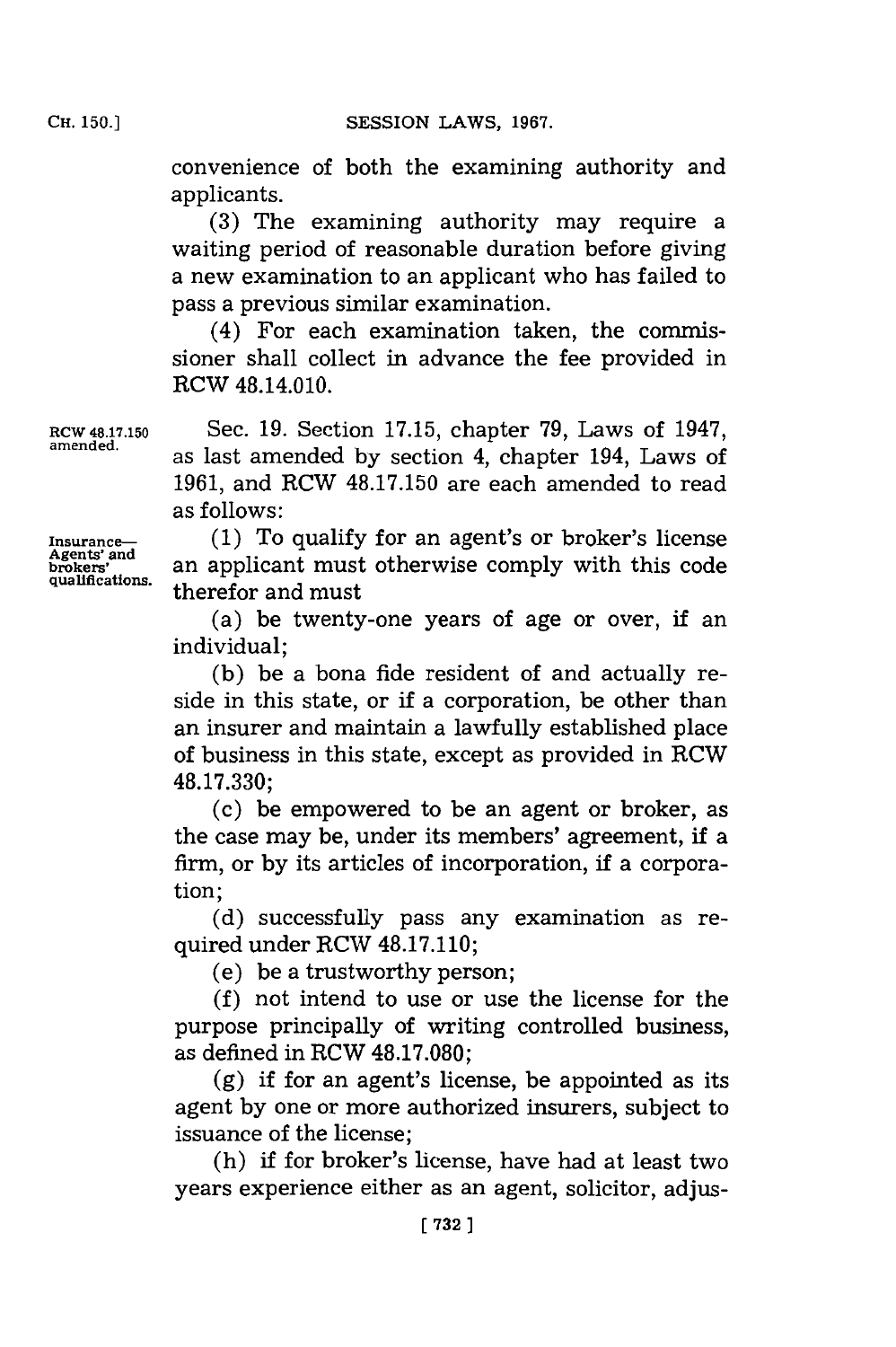convenience of both the examining authority and applicants.

**(3)** The examining authority may require a waiting period of reasonable duration before giving a new examination to an applicant who has failed to pass a previous similar examination.

(4) For each examination taken, the commissioner shall collect in advance the fee provided in RCW 48.14.010.

**RCW 48.17.150** Sec. **19.** Section **17.15,** chapter **79,** Laws of 1947, as last amended by section 4, chapter 194, Laws of **1961,** and RCW **48.17.150** are each amended to read as follows:

Insurance— (1) To qualify for an agent's or broker's license<br>Agents' and an applicant must otherwise comply with this code an applicant must otherwise comply with this code qualifications. **therefor** and must

> (a) be twenty-one years of age or over, if an individual;

> **(b)** be a bona fide resident of and actually reside in this state, or if a corporation, be other than an insurer and maintain a lawfully established place of business in this state, except as provided in RCW **48.17.330;**

> (c) be empowered to be an agent or broker, as the case may be, under its members' agreement, if a firm, or **by** its articles of incorporation, if a corporation;

> **(d)** successfully pass any examination as required under RCW **48.17.110;**

(e) be a trustworthy person;

**(f)** not intend to use or use the license for the purpose principally of writing controlled business, as defined in RCW **48.17.080;**

**(g)** if for an agent's license, be appointed as its agent **by** one or more authorized insurers, subject to issuance of the license;

(h) if for broker's license, have had at least two years experience either as an agent, solicitor, adjus-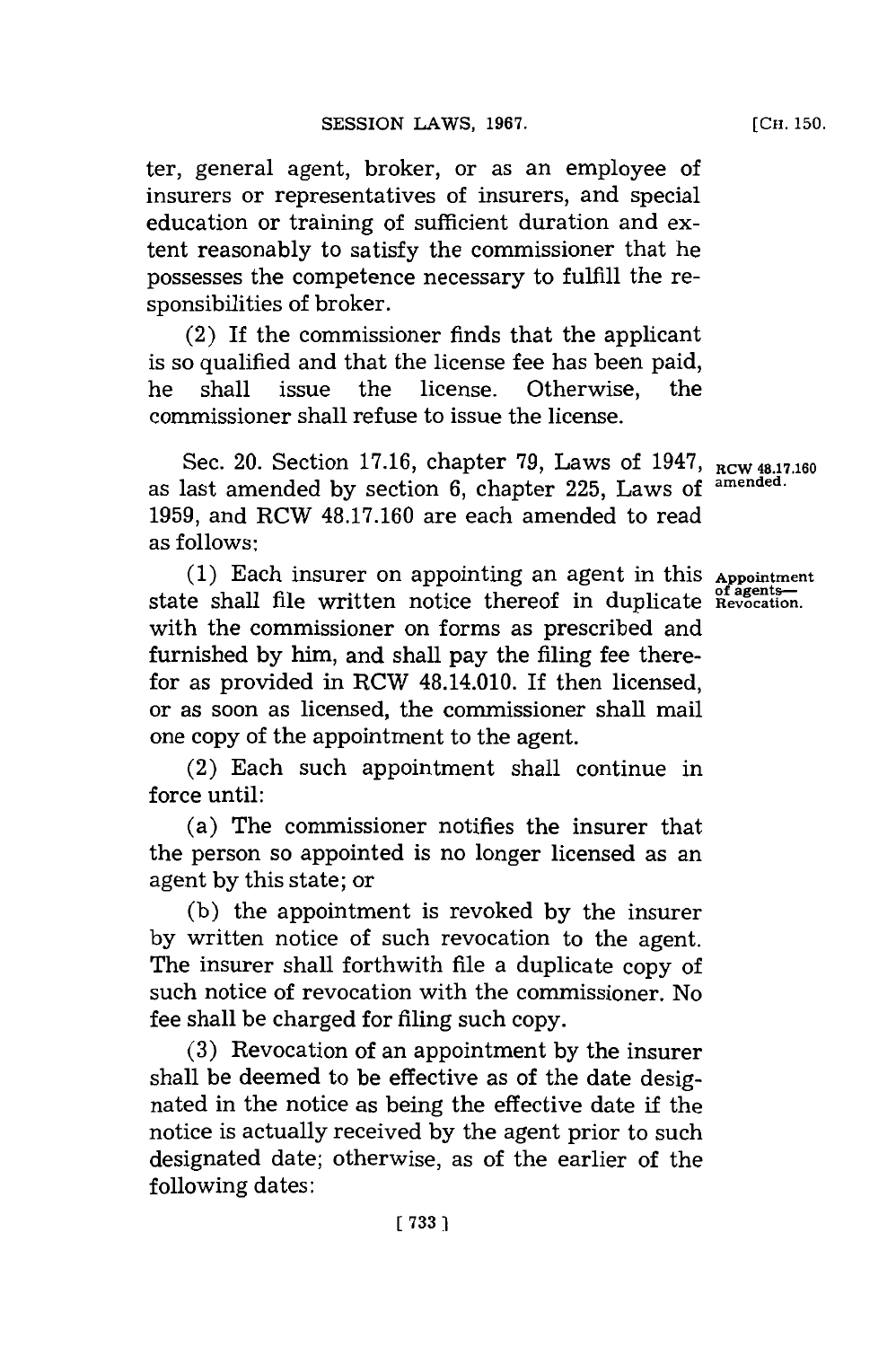ter, general agent, broker, or as an employee of insurers or representatives of insurers, and special education or training of sufficient duration and extent reasonably to satisfy the commissioner that he possesses the competence necessary to fulfill the responsibilities of broker.

(2) If the commissioner finds that the applicant is so qualified and that the license fee has been paid, he shall issue the license. Otherwise, the commissioner shall refuse to issue the license.

Sec. 20. Section 17.16, chapter 79, Laws of 1947,  $_{\text{RCW 48.17.160}}$ as last amended **by** section **6,** chapter **225,** Laws **of amended. 1959,** and RCW **48.17.160** are each amended to read as follows:

**(1)** Each insurer on appointing an agent in this **Appointment** state shall file written notice thereof in duplicate **Revocation**. with the commissioner on forms as prescribed and furnished **by** him, and shall pay the filing fee therefor as provided in RCW 48.14.010. If then licensed, or as soon as licensed, the commissioner shall mail one copy of the appointment to the agent.

(2) Each such appointment shall continue in force until:

(a) The commissioner notifies the insurer that the person so appointed is no longer licensed as an agent **by** this state; or

**(b)** the appointment is revoked **by** the insurer **by** written notice of such revocation to the agent. The insurer shall forthwith file a duplicate copy of such notice of revocation with the commissioner. No fee shall be charged for filing such copy.

**(3)** Revocation of an appointment **by** the insurer shall be deemed to be effective as of the date designated in the notice as being the effective date if the notice is actually received **by** the agent prior to such designated date; otherwise, as of the earlier of the following dates: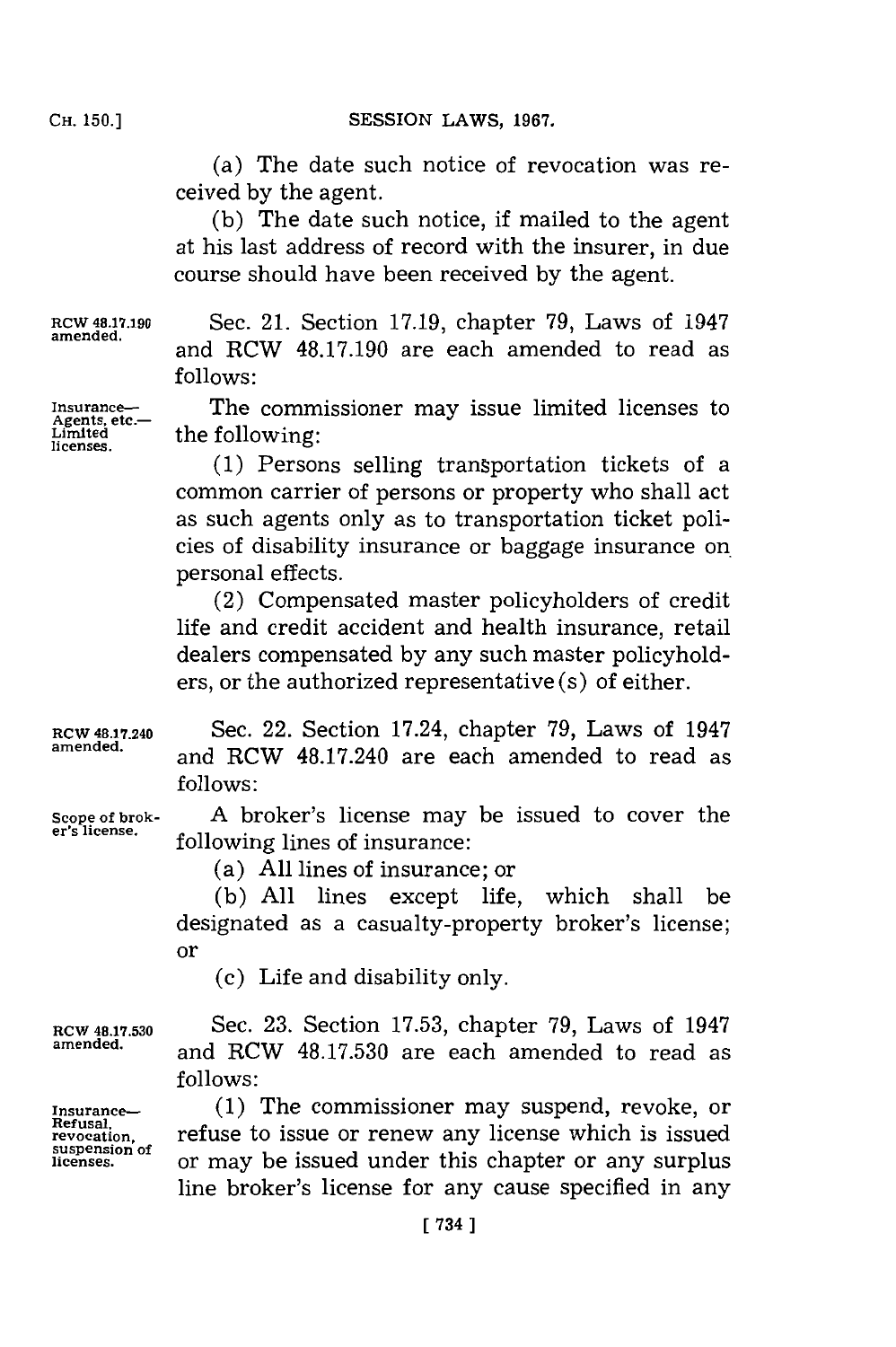(a) The date such notice of revocation was received **by** the agent.

**(b)** The date such notice, if mailed to the agent at his last address of record with the insurer, in due course should have been received **by** the agent.

**licenses.**

**RCW 48.17.190 Sec. 21. Section 17.19, chapter 79, Laws of 1947**<br>amended. and RCW 48.17.190 are each amended to read as **follows:**

**Insurance-\_** The commissioner may issue limited licenses to the following:

> **(1)** Persons selling transportation tickets of a common carrier of persons or property who shall act as such agents only as to transportation ticket policies of disability insurance or baggage insurance on. personal effects.

> (2) Compensated master policyholders of credit life and credit accident and health insurance, retail dealers compensated **by** any such master policyholders, or the authorized representative (s) of either.

**RCW 48.17.240** Sec. 22. Section 17.24, chapter **79,** Laws of 1947 **amended,** and RCW 48.17.240 are each amended to read as **follows:**

**Scope of brok- A** broker's license may be issued to cover the following lines of insurance:

(a) **All** lines of insurance; or

**(b) All** lines except life, which shall be designated as a casualty-property broker's license; **or**

(c) Life and disability only.

**RCW 48.17.530** Sec. **23.** Section **17.53,** chapter **79,** Laws of 1947 and RCW 48.17.530 are each amended to read as **follows:**

**Insurance-- (1)** The commissioner may suspend, revoke, or **refused**<br>revocation, refuse to issue or renew any license which is issued<br>suspension of **licenses,** or may be issued under this chapter or any surplus line broker's license for any cause specified in any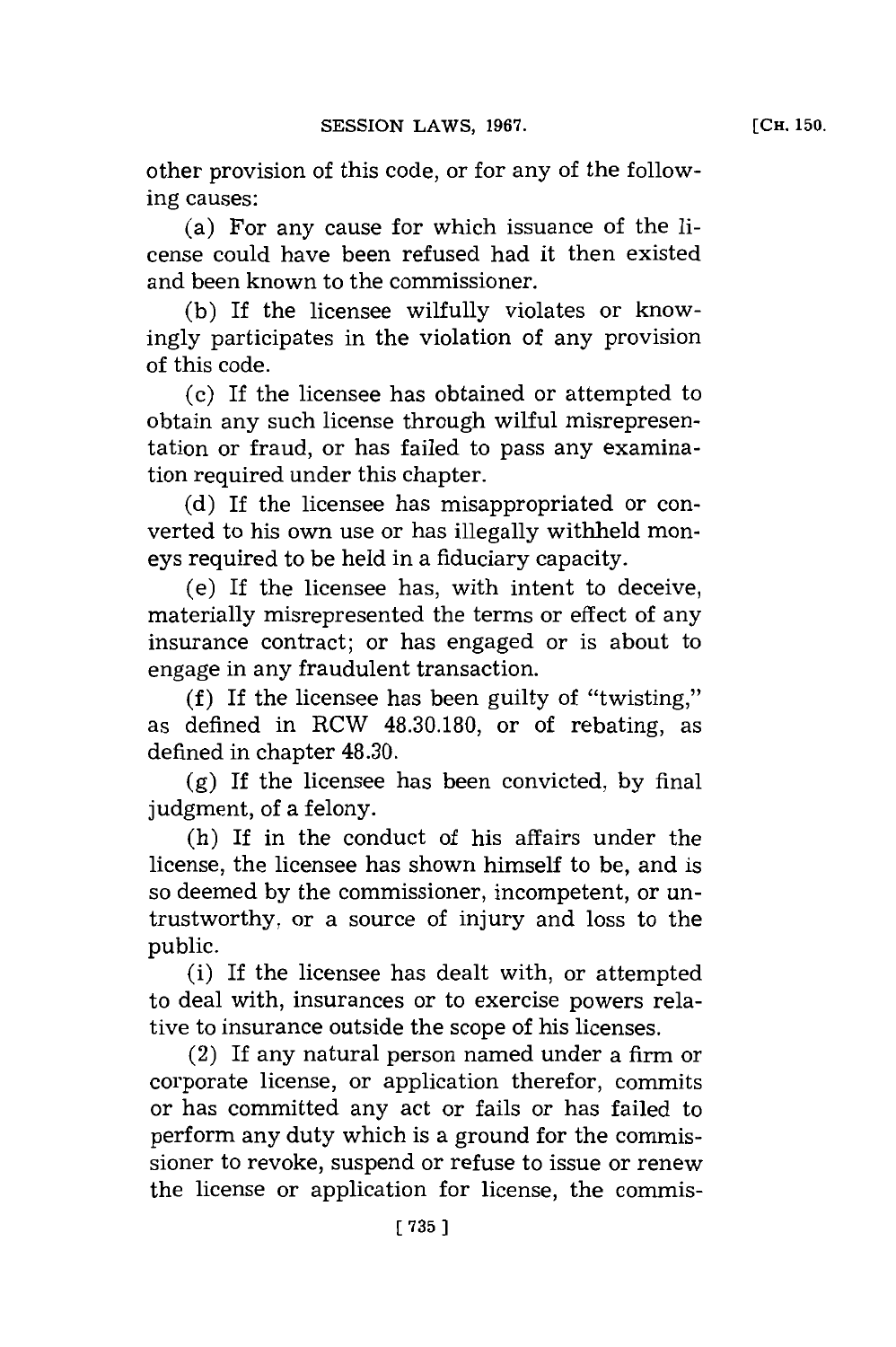other provision of this code, or **for** any of the following causes:

(a) For any cause for which issuance of the license could have been refused had it then existed and been known to the commissioner.

**(b)** If the licensee wilfully violates or knowingly participates in the violation of any provision of this code.

(c) If the licensee has obtained or attempted to obtain any such license through wilful misrepresentation or fraud, or has failed to pass any examination required under this chapter.

**(d)** If the licensee has misappropriated or converted to his own use or has illegally withheld moneys required to be held in a fiduciary capacity.

(e) If the licensee has, with intent to deceive, materially misrepresented the terms or effect of any insurance contract; or has engaged or is about to engage in any fraudulent transaction.

**(f)** If the licensee has been guilty of "twisting," as defined in RCW **48.30.180,** or of rebating, as defined in chapter 48.30.

**(g)** If the licensee has been convicted, **by** final judgment, of a felony.

(h) If in the conduct of his affairs under the license, the licensee has shown himself to be, and is so deemed **by** the commissioner, incompetent, or untrustworthy, or a source of injury and loss to the public.

(i) If the licensee has dealt with, or attempted to deal with, insurances or to exercise powers relative to insurance outside the scope of his licenses.

(2) If any natural person named under a firm or corporate license, or application therefor, commits or has committed any act or fails or has failed to perform any duty which is a ground for the commissioner to revoke, suspend or refuse to issue or renew the license or application for license, the commis-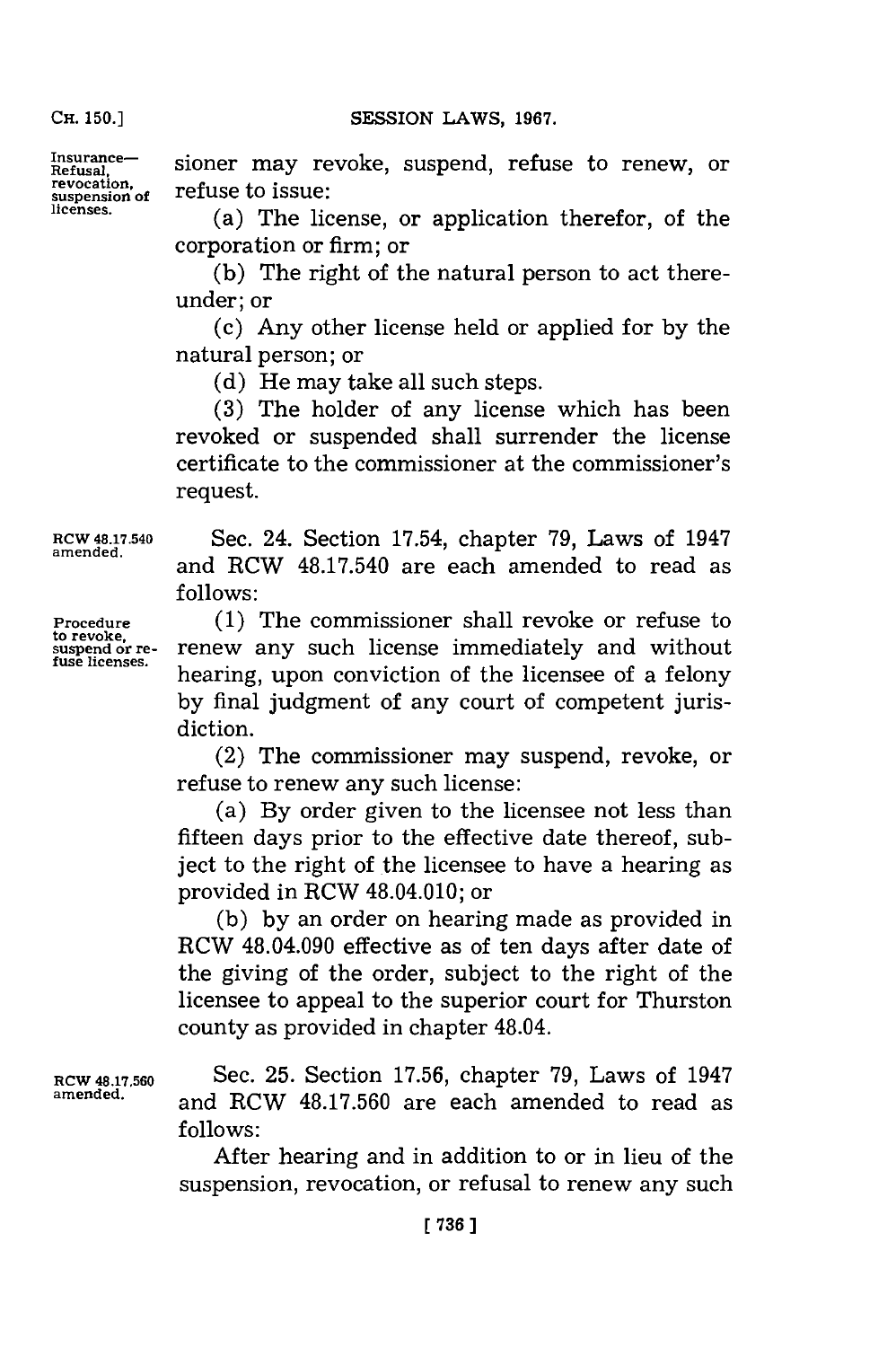**Insurance-**

Insurance— sioner may revoke, suspend, refuse to renew, or<br>Refusal, **produce the insurance** revocation. **revocation,**<br>suspension of **refuse** to issue:

**licenses.** (a) The license, or application therefor, of the corporation or firm; or

**(b)** The right of the natural person to act thereunder; or

**(c)** Any other license held or applied for **by** the natural person; or

**(d)** He may take all such steps.

**(3)** The holder of any license which has been revoked or suspended shall surrender the license certificate to the commissioner at the commissioner's request.

**to revoke,**

RCW 48.17.540 Sec. 24. Section 17.54, chapter **79,** Laws of 1947 and RCW 48.17.540 are each amended to read as **follows:**

**Procedure (1)** The commissioner shall revoke or refuse to renew any such license immediately and without hearing, upon conviction of the licensee of a felony **by** final judgment of any court of competent jurisdiction.

> (2) The commissioner may suspend, revoke, or refuse to renew any such license:

> (a) **By** order given to the licensee not less than fifteen days prior to the effective date thereof, subject to the right of the licensee to have a hearing as provided in RCW 48.04.010; or

> **(b) by** an order on hearing made as provided in RCW 48.04.090 effective as of ten days after date of the giving of the order, subject to the right of the licensee to appeal to the superior court for Thurston county as provided in chapter 48.04.

**RCW 48.17.560** Sec. **25.** Section **17.56,** chapter **79,** Laws of 1947 and RCW 48.17.560 are each amended to read as **follows:**

> After hearing and in addition to or in lieu of the suspension, revocation, or refusal to renew any such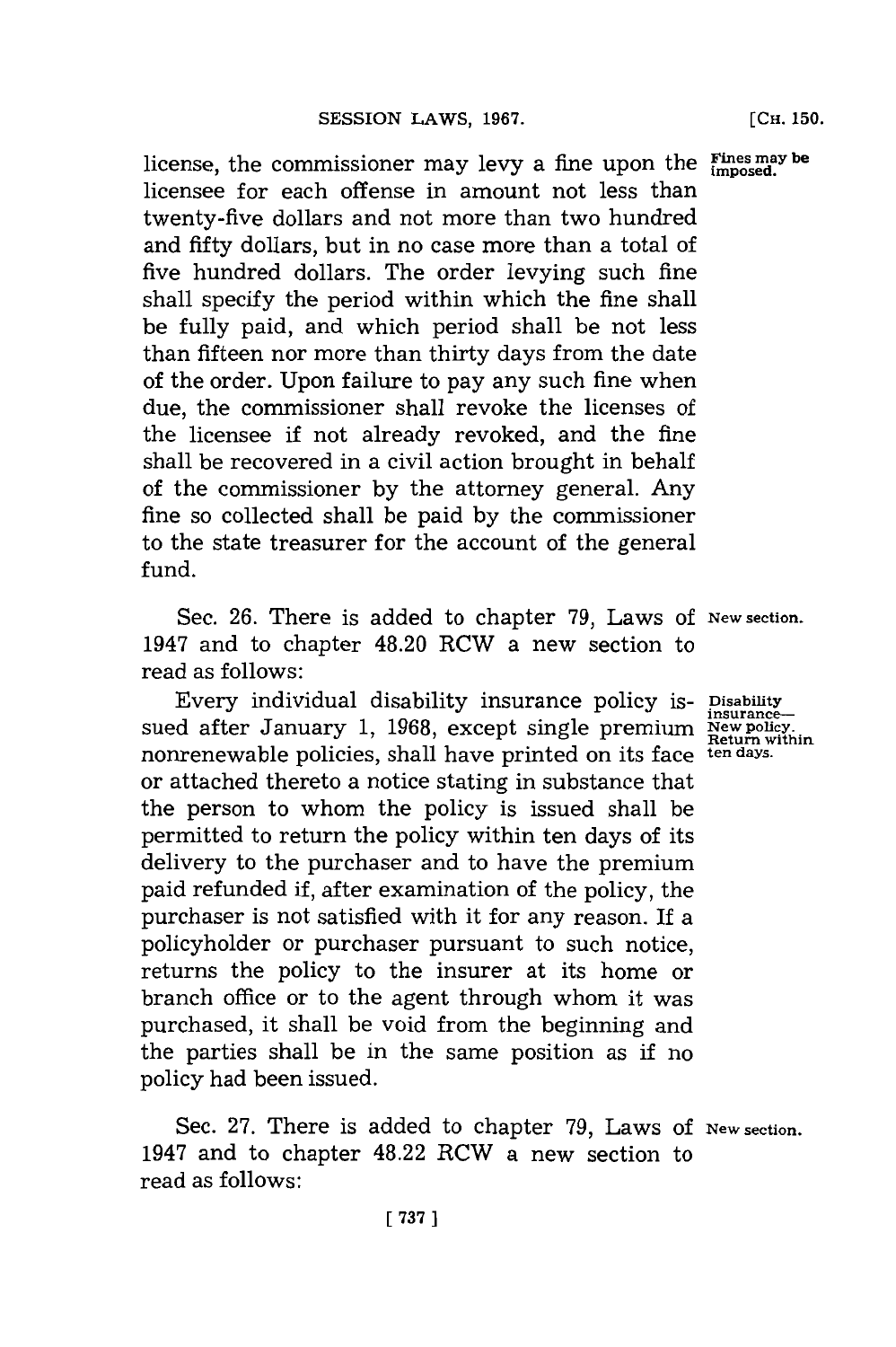**F'ines may be** license, the commissioner may levy a fine upon the **imposed.** licensee for each offense in amount not less than twenty-five dollars and not more than two hundred and fifty dollars, but in no case more than a total of five hundred dollars. The order levying such fine shall specify the period within which the fine shall be fully paid, and which period shall be not less than fifteen nor more than thirty days from the date of the order. Upon failure to pay any such fine when due, the commissioner shall revoke the licenses of the licensee if not already revoked, and the fine shall be recovered in a civil action brought in behalf of the commissioner **by** the attorney general. Any fine so collected shall be paid **by** the commissioner to the state treasurer for the account of the general fund.

Sec. 26. There is added to chapter 79, Laws of New section. 1947 and to chapter 48.20 RCW a new section to read as follows:

Every individual disability insurance policy is- **Disability** Every individual disability insurance policy is-<br>sued after January 1, 1968, except single premium  $\frac{New policy}{Return within}$ nonrenewable policies, shall have printed on its face **ten days.** or attached thereto a notice stating in substance that the person to whom the policy is issued shall be permitted to return the policy within ten days of its delivery to the purchaser and to have the premium paid refunded if, after examination of the policy, the purchaser is not satisfied with it for any reason. If a policyholder or purchaser pursuant to such notice, returns the policy to the insurer at its home or branch office or to the agent through whom it was purchased, it shall be void from the beginning and the parties shall be in the same position as if no policy had been issued.

Sec. 27. There is added to chapter 79, Laws of New section. 1947 and to chapter 48.22 RCW a new section to read as follows: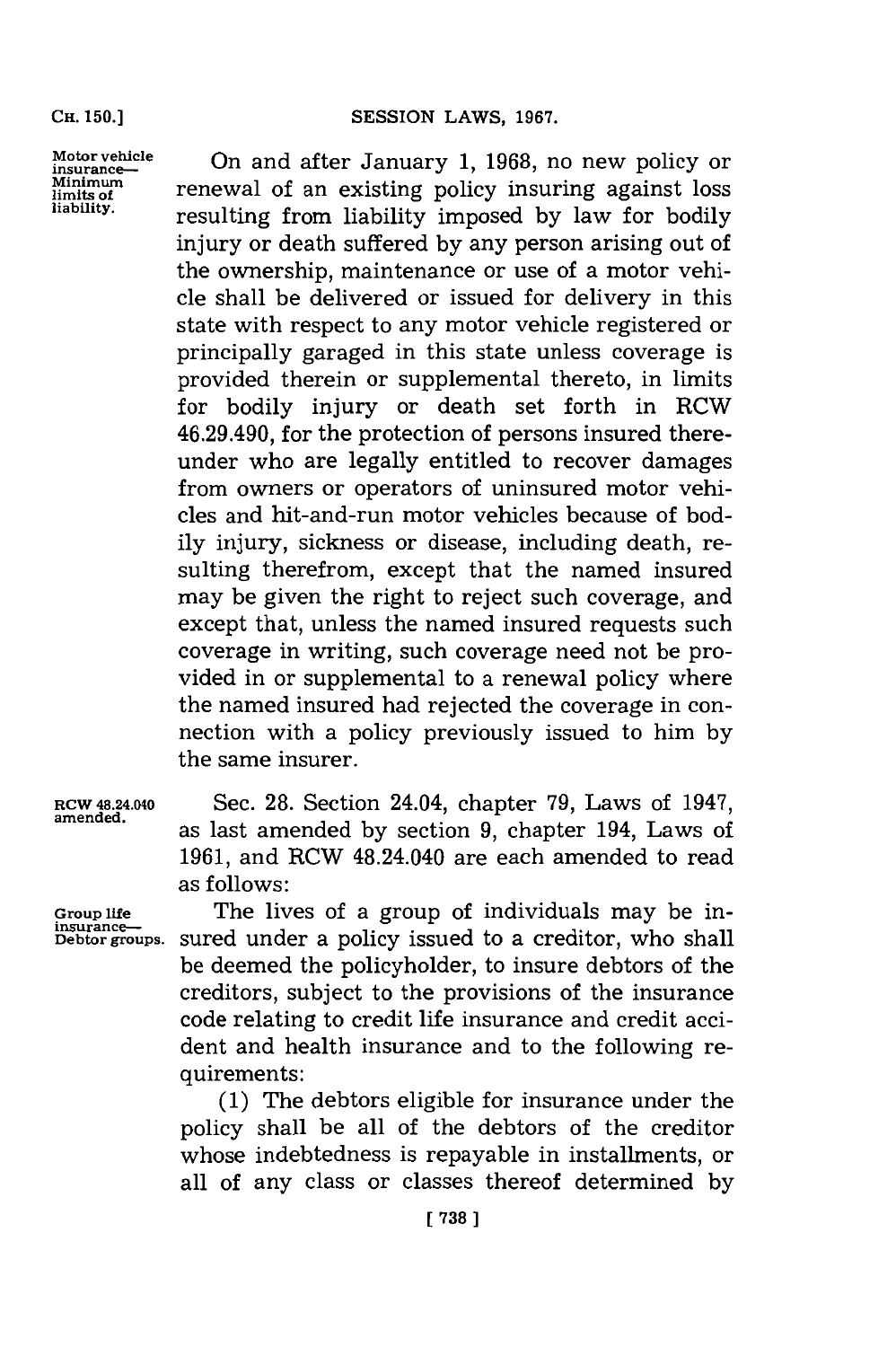**Motor vehicle** On and after January **1, 1968,** no new policy or **insurance--** Minimum<br>limits of an existing policy insuring against loss<br>liability. **liability,** resulting from liability imposed **by** law for bodily injury or death suffered **by** any person arising out of the ownership, maintenance or use of a motor vehicle shall be delivered or issued for delivery in this state with respect to any motor vehicle registered or principally garaged in this state unless coverage is provided therein or supplemental thereto, in limits for bodily injury or death set forth in RCW 46.29.490, for the protection of persons insured thereunder who are legally entitled to recover damages from owners or operators of uninsured motor vehicles and hit-and-run motor vehicles because of bodily injury, sickness or disease, including death, resulting therefrom, except that the named insured may be given the right to reject such coverage, and except that, unless the named insured requests such coverage in writing, such coverage need not be provided in or supplemental to a renewal policy where the named insured had rejected the coverage in connection with a policy previously issued to him **by** the same insurer.

**RCW 48.24.040** Sec. **28.** Section 24.04, chapter **79,** Laws of 1947, as last amended by section 9, chapter 194, Laws of **1961,** and RCW 48.24.040 are each amended to read as follows:

Group life **The lives of a group of individuals may be in-Debtorroups.** sured under a policy issued to a creditor, who shall be deemed the policyholder, to insure debtors of the creditors, subject to the provisions of the insurance code relating to credit life insurance and credit accident and health insurance and to the following requirements:

> **(1)** The debtors eligible for insurance under the policy shall be all of the debtors of the creditor whose indebtedness is repayable in installments, or all of any class or classes thereof determined **by**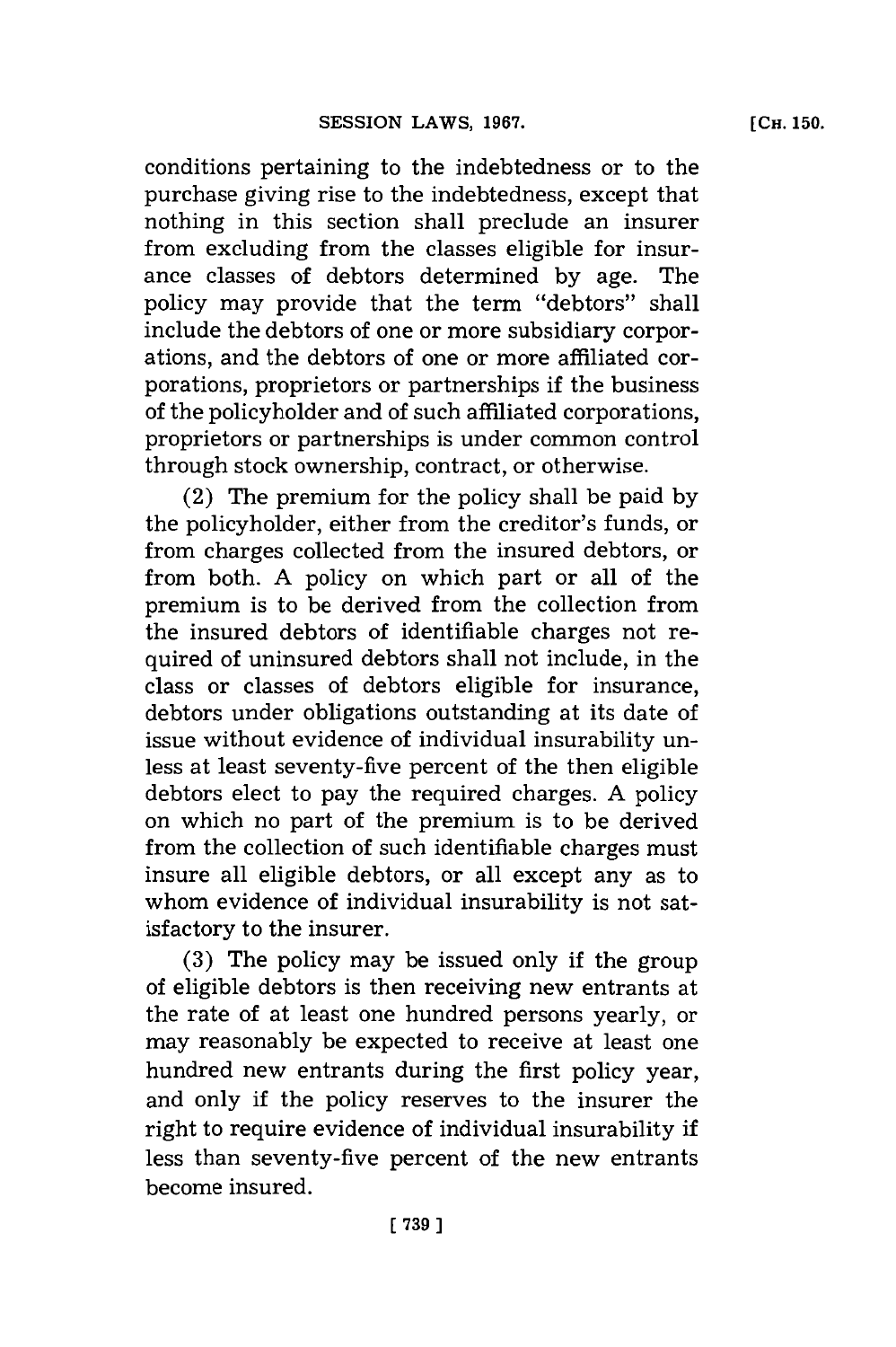conditions pertaining to the indebtedness or to the purchase giving rise to the indebtedness, except that nothing in this section shall preclude an insurer from excluding from the classes eligible for insurance classes of debtors determined **by** age. The policy may provide that the term "debtors" shall include the debtors of one or more subsidiary corporations, and the debtors of one or more affiliated corporations, proprietors or partnerships if the business of the policyholder and of such affiliated corporations, proprietors or partnerships is under common control through stock ownership, contract, or otherwise.

(2) The premium for the policy shall be paid **by** the policyholder, either from the creditor's funds, or from charges collected from the insured debtors, or from both. **A** policy on which part or all of the premium is to be derived from the collection from the insured debtors of identifiable charges not required of uninsured debtors shall not include, in the class or classes of debtors eligible for insurance, debtors under obligations outstanding at its date of issue without evidence of individual insurability unless at least seventy-five percent of the then eligible debtors elect to pay the required charges. **A** policy on which no part of the premium is to be derived from the collection of such identifiable charges must insure all eligible debtors, or all except any as to whom evidence of individual insurability is not satisfactory to the insurer.

**(3)** The policy may be issued only if the group of eligible debtors is then receiving new entrants at the rate of at least one hundred persons yearly, or may reasonably be expected to receive at least one hundred new entrants during the first policy year, and only if the policy reserves to the insurer the right to require evidence of individual insurability if less than seventy-five percent of the new entrants become insured.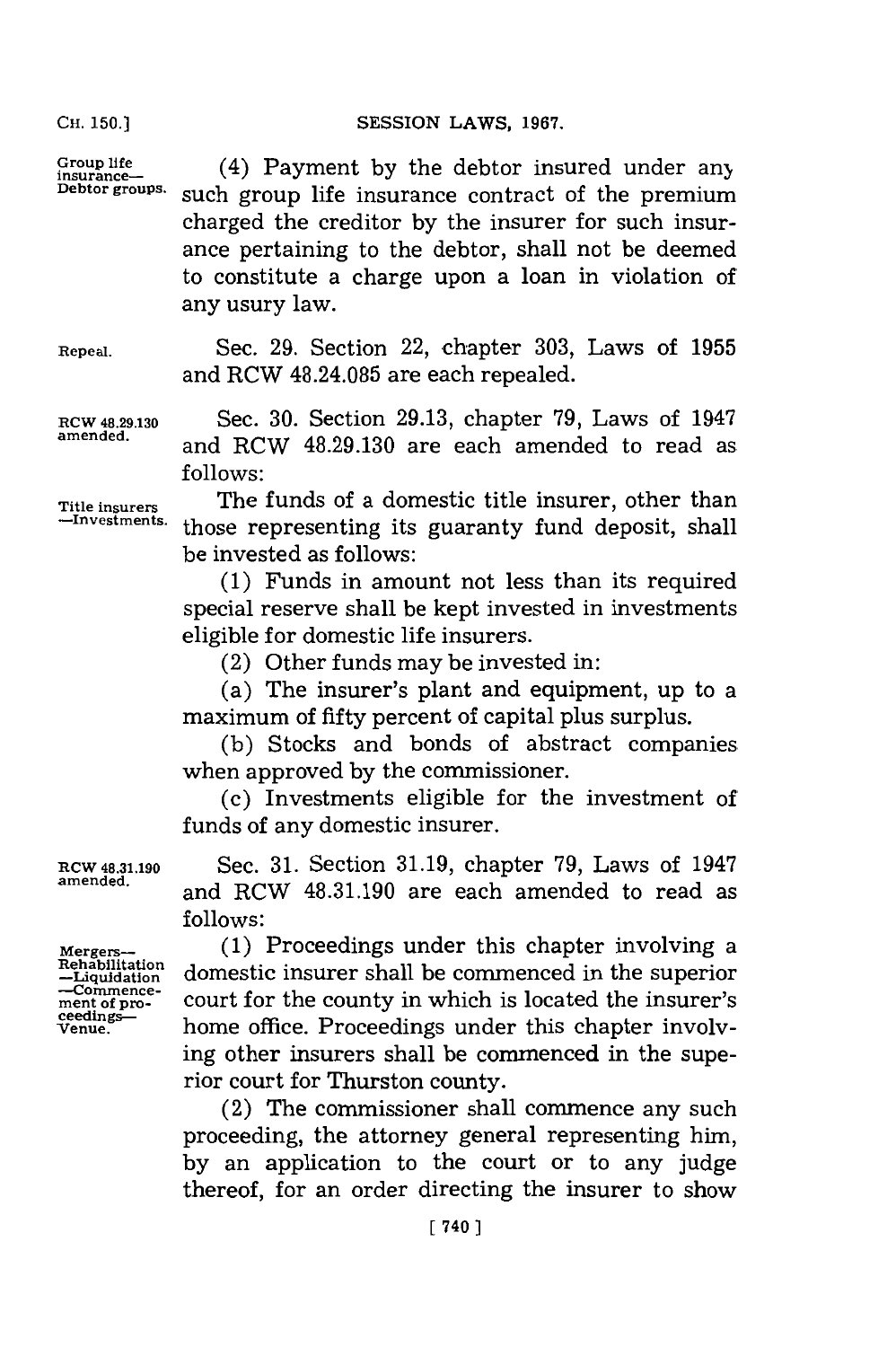#### SESSION LAWS, 1967.

**CH. 150.]**

Group life (4) Payment by the debtor insured under any **Debtor groups.** such group life insurance contract of the premium charged the creditor **by** the insurer for such insurance pertaining to the debtor, shall not be deemed to constitute a charge upon a loan in violation of any usury law.

**Repeal.** Sec. **29.** Section 22, chapter **303,** Laws of **1955** and RCW 48.24.085 are each repealed.

ROW **48.29.130** Sec. **30.** Section **29.13,** chapter **79,** Laws of 1947 **amended,** and RCW **48.29.130** are each amended to read as **follows:**

**Title insurers** The funds of a domestic title insurer, other than **-Investments,** those representing its guaranty fund deposit, shall be invested as follows:

> **(1)** Funds in amount not less than its required special reserve shall be kept invested in investments eligible for domestic life insurers.

(2) Other funds may be invested in:

(a) The insurer's plant and equipment, up to a maximum of fifty percent of capital plus surplus.

**(b)** Stocks and bonds of abstract companies when approved **by** the commissioner.

**(c)** Investments eligible for the investment of funds of any domestic insurer.

**RCW 48.31.190** Sec. **31.** Section **31.19,** chapter **79,** Laws of 1947 **amended,** and RCW **48.31.190** are each amended to read as **follows:**

Mergers- (1) Proceedings under this chapter involving a<br>Rehabilitation domestic incurse shall be commenced in the sum with Rehabilitation<br>-Liquidation domestic insurer shall be commenced in the superior<br>-Commence-—commence-<br>ment of pro-<br>ceedings—<br>**ment of property** in which is located the insurer's <sup>ceedings—</sup> home office. Proceedings under this chapter involving other insurers shall be commenced in the superior court for Thurston county.

> (2) The commissioner shall commence any such proceeding, the attorney general representing him, **by** an application to the court or to any judge thereof, for an order directing the insurer to show